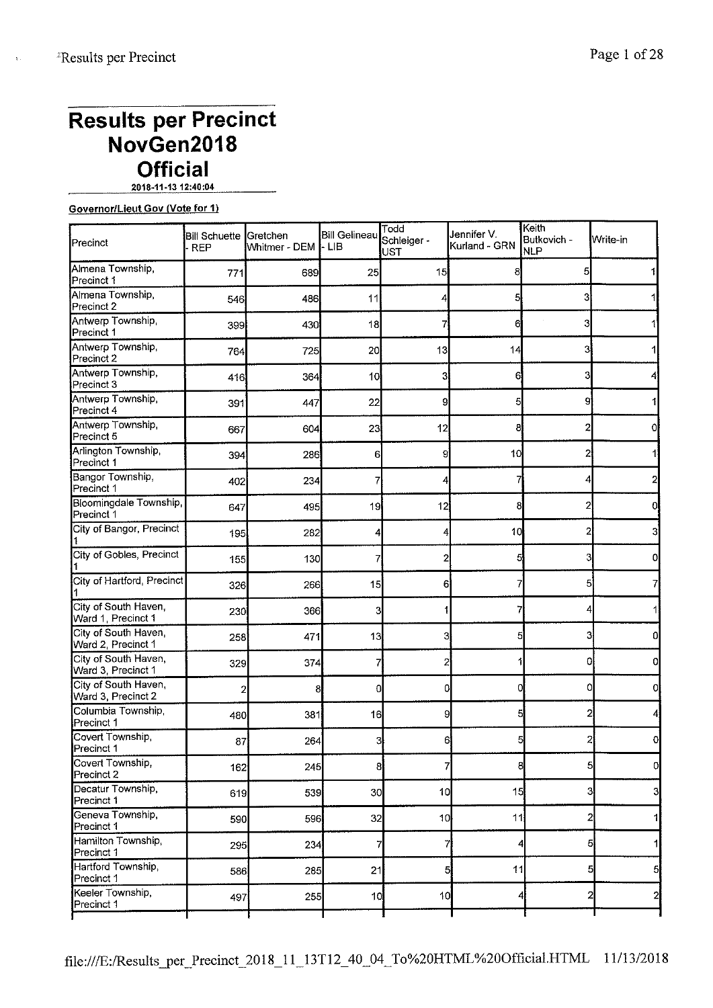$\mathbf{I}$ 

## Page 1 of 28

# **Results per Precinct NovGen2018 Official**

**2018-11-1312:40:04** 

## **Governor/Lieut Gov (Vote for 1)**

| <b>Precinct</b>                            | Bill Schuette Gretchen<br><b>REP</b> | Whitmer - DEM | <b>Bill Gelineau</b><br>$-LIB$ | Todd<br>Schleiger -<br>UST | Jennifer V.<br>Kurland - GRN | ∣Keith<br>Butkovich -<br><b>NLP</b> | Write-in          |
|--------------------------------------------|--------------------------------------|---------------|--------------------------------|----------------------------|------------------------------|-------------------------------------|-------------------|
| Almena Township,<br>Precinct 1             | 771                                  | 689           | 25                             | 15                         | 8                            | 5                                   |                   |
| Almena Township<br>Precinct 2              | 546                                  | 486           | 11                             |                            | 5                            | 3                                   |                   |
| Antwerp Township,<br>Precinct 1            | 399                                  | 430           | 18                             |                            | 6                            | 3                                   |                   |
| Antwerp Township,<br>Precinct 2            | 764                                  | 725           | 20                             | 13                         | 14                           | 3                                   |                   |
| Antwerp Township,<br>Precinct 3            | 416                                  | 364           | 10                             | 3                          | 6                            | 3                                   |                   |
| Antwerp Township,<br>Precinct 4            | 391                                  | 447           | 22                             | 9                          | 5                            | 9                                   |                   |
| Antwerp Township,<br>Precinct 5            | 667                                  | 604           | 23                             | 12                         | 8                            |                                     |                   |
| Arlington Township,<br>Precinct 1          | 394                                  | 286           | 6                              | 9                          | 10                           | 2                                   |                   |
| Bangor Township,<br>Precinct 1             | 402                                  | 234           |                                |                            |                              |                                     |                   |
| Bloomingdale Township,<br>Precinct 1       | 647                                  | 495           | 19                             | 12                         | 8                            | 2                                   | o                 |
| City of Bangor, Precinct                   | 195                                  | 282           | 4                              |                            | 10                           | 2                                   |                   |
| City of Gobles, Precinct                   | 155                                  | 130           |                                | 2                          |                              |                                     |                   |
| City of Hartford, Precinct                 | 326                                  | 266           | 15                             | 6                          |                              | 51                                  |                   |
| City of South Haven,<br>Ward 1, Precinct 1 | 230                                  | 366           | 3                              |                            |                              |                                     |                   |
| City of South Haven,<br>Ward 2, Precinct 1 | 258                                  | 471           | 13                             | 3                          |                              | 3                                   | 0                 |
| City of South Haven,<br>Ward 3, Precinct 1 | 329                                  | 374           |                                | 2                          |                              | 0                                   | ol                |
| City of South Haven,<br>Ward 3, Precinct 2 |                                      | 8             | 0                              | 0                          |                              | 0                                   | 0l                |
| Columbia Township,<br>Precinct 1           | 480                                  | 381           | 16                             | 9                          | 5                            | 2                                   |                   |
| Covert Township,<br>Precinct 1             | 87                                   | 264           | 3                              | 6                          |                              | 2                                   | 0.                |
| Covert Township,<br>Precinct 2             | 162                                  | 245           | 8 <sup>1</sup>                 | 7                          | 8                            |                                     | $5 \mid$<br>0I    |
| Decatur Township,<br>Precinct 1            | 619                                  | 539           | 30                             | 10                         | 15                           |                                     | 3]<br>3           |
| Geneva Township,<br>Precinct 1             | 590                                  | 596           | 32                             | 10                         | 11                           | 2                                   | 11                |
| Hamilton Township,<br>Precinct 1           | 295                                  | 234           | 7                              | 7                          | 4                            |                                     | 5<br>1            |
| Hartford Township,<br>Precinct 1           | 586                                  | 285           | 21                             | 5                          | 11                           |                                     | 5<br>5            |
| Keeler Township,<br>Precinct 1             | 497                                  | 255           | 10 <sub>1</sub>                | 10 <sup>1</sup>            |                              |                                     | $\mathbf{z}$<br>2 |
|                                            |                                      |               |                                |                            |                              |                                     |                   |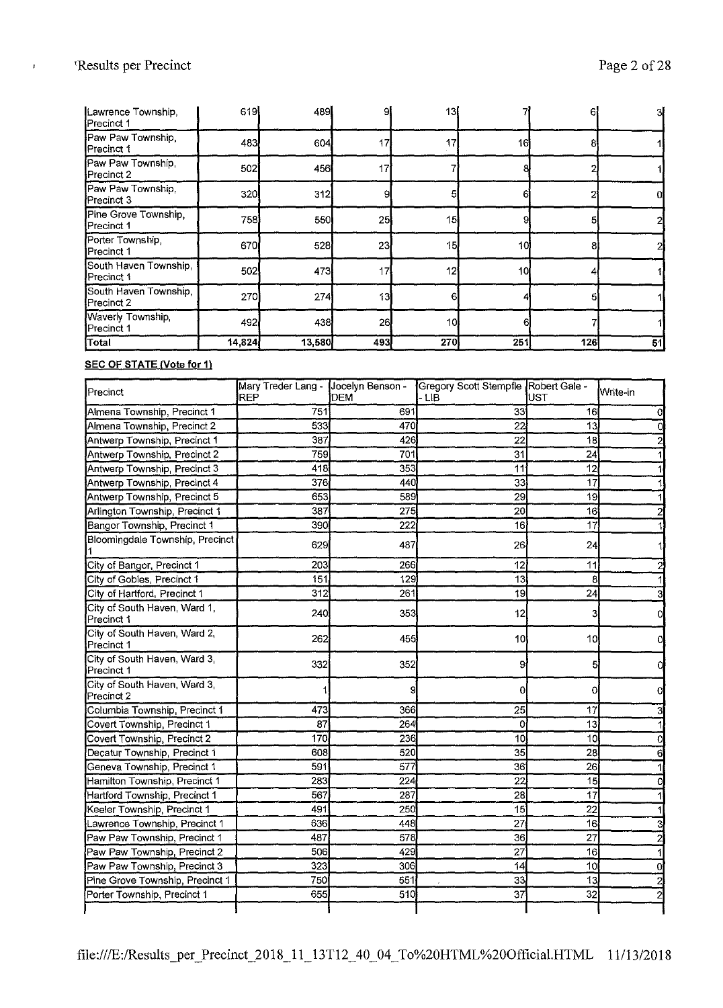| Lawrence Township,<br>Precinct 1    | 619    | 489    | 9.  | 13  |     | 61  | зł |
|-------------------------------------|--------|--------|-----|-----|-----|-----|----|
| Paw Paw Township,<br>Precinct 1     | 483    | 604    | 17  |     | 16  |     |    |
| Paw Paw Township<br>Precinct 2      | 502    | 456    | 17  |     |     |     |    |
| Paw Paw Township,<br>Precinct 3     | 320    | 312    | 9   |     |     |     |    |
| Pine Grove Township,<br>Precinct 1  | 758    | 550    | 25  | 15  |     |     |    |
| Porter Township,<br>Precinct 1      | 670    | 528    | 23  | 15  | 10  |     |    |
| South Haven Township,<br>Precinct 1 | 502    | 473    | 17  | 12  | 10  |     |    |
| South Haven Township,<br>Precinct 2 | 270    | 274    | 13  |     |     |     |    |
| Waverly Township,<br>Precinct 1     | 492    | 438    | 26  | 10  |     |     |    |
| Total                               | 14,824 | 13,580 | 493 | 270 | 251 | 126 | 51 |

#### **SEC OF STATE (Vote for 1)**

| Precinct                                   | Mary Treder Lang -<br><b>IREP</b> | Jocelyn Benson -<br><b>DEM</b> | Gregory Scott Stempfle Robert Gale -<br>- LIB | UST             | ∫Write-in      |
|--------------------------------------------|-----------------------------------|--------------------------------|-----------------------------------------------|-----------------|----------------|
| Almena Township, Precinct 1                | 751                               | 691                            | 33 <sup>′</sup>                               | 16 <sup>1</sup> | 0l             |
| Almena Township, Precinct 2                | 533                               | 470                            | 22                                            | 13              | 0              |
| Antwerp Township, Precinct 1               | 387                               | 426                            | 22                                            | 18              |                |
| Antwerp Township, Precinct 2               | 759                               | 701                            | 31                                            | 24              |                |
| Antwerp Township, Precinct 3               | 418                               | 353                            | 11                                            | 12              |                |
| Antwerp Township, Precinct 4               | 376                               | 440                            | 33                                            | 17              |                |
| Antwerp Township, Precinct 5               | 653                               | 539                            | 29                                            | 19              |                |
| Arlington Township, Precinct 1             | 387                               | 275                            | 20                                            | 16              |                |
| Bangor Township, Precinct 1                | 390                               | 222                            | 16                                            | 17              |                |
| Bloomingdale Township, Precinct            | 629                               | 487                            | 26                                            | 24              |                |
| City of Bangor, Precinct 1                 | 203                               | 266                            | 12                                            | 11              |                |
| City of Gobles, Precinct 1                 | 151                               | 129                            | 13                                            | 8               |                |
| City of Hartford, Precinct 1               | 312                               | 261                            | $\overline{19}$                               | 24              |                |
| City of South Haven, Ward 1,<br>Precinct 1 | 240                               | 353                            | 12                                            | З               |                |
| City of South Haven, Ward 2,<br>Precinct 1 | 262                               | 455                            | 10                                            | 10              |                |
| City of South Haven, Ward 3,<br>Precinct 1 | 332                               | 352                            | 9                                             | 5               |                |
| City of South Haven, Ward 3,<br>Precinct 2 |                                   | 9                              | 0                                             | 0               |                |
| Columbia Township, Precinct 1              | 473                               | 366                            | 25                                            | 17              |                |
| Covert Township, Precinct 1                | 87                                | 264                            | Oi                                            | 13              |                |
| Covert Township, Precinct 2                | 170                               | 236                            | 10                                            | 10              | 0              |
| Decatur Township, Precinct 1               | 608                               | 520                            | 35                                            | $\overline{28}$ | 6              |
| Geneva Township, Precinct 1                | 591                               | 577                            | 36                                            | 26              |                |
| Hamilton Township, Precinct 1              | 283                               | 224                            | $\overline{2}2$                               | 15              | 0              |
| Hartford Township, Precinct 1              | 567                               | 287                            | 28                                            | 17              |                |
| Keeler Township, Precinct 1                | 491                               | 250                            | 15                                            | 22              |                |
| Lawrence Township, Precinct 1              | 636                               | 448                            | 27                                            | 16              |                |
| Paw Paw Township, Precinct 1               | 487                               | 578                            | 36                                            | 27              | $\overline{c}$ |
| Paw Paw Township, Precinct 2               | 506                               | 429                            | 27                                            | 16              |                |
| Paw Paw Township, Precinct 3               | 323                               | 306                            | 14                                            | 10              | 0              |
| Pine Grove Township, Precinct 1            | 750                               | 551                            | 33                                            | 13              | $\overline{a}$ |
| Porter Township, Precinct 1                | 655                               | 510                            | 37                                            | 32              | $\overline{2}$ |
|                                            |                                   |                                |                                               |                 |                |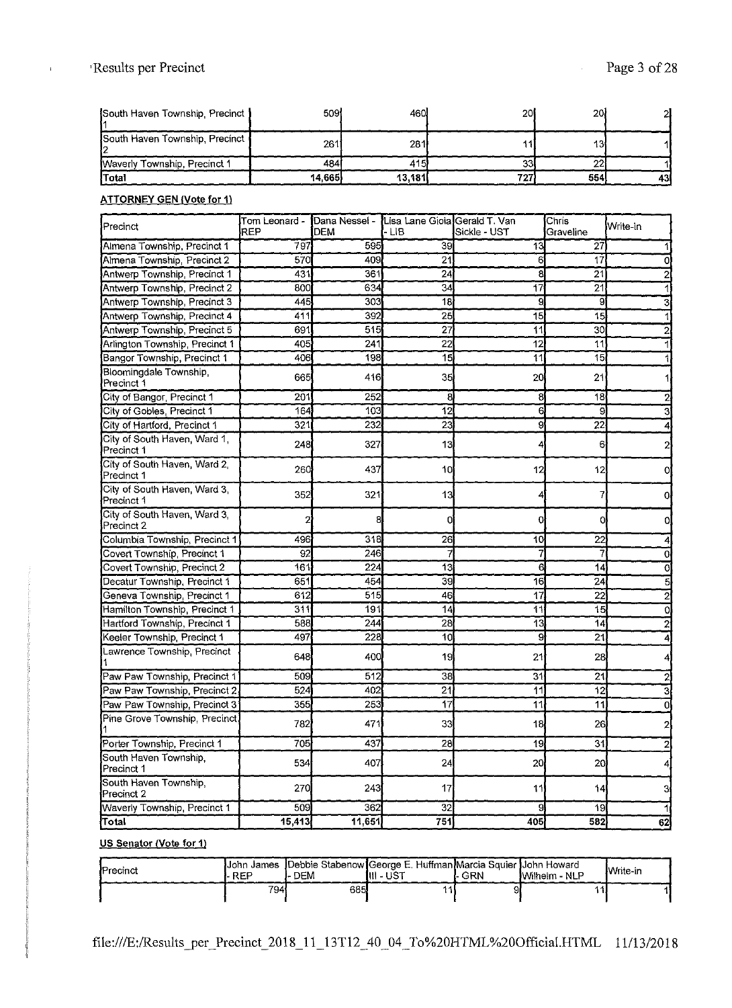| South Haven Township, Precinct | 509l   | 460.   | 20  | 20) |    |
|--------------------------------|--------|--------|-----|-----|----|
| South Haven Township, Precinct | 261    | 281    |     | 13  |    |
| Waverly Township, Precinct 1   | 484    | 415    |     |     |    |
| <b>Total</b>                   | 14.665 | 13.181 | 727 | 554 | 43 |

#### **ATTORNEY GEN {Vote for 1)**

| Precinct                                   | Tom Leonard -<br>REP | Dana Nessel -<br>DEM | Lisa Lane Gioia Gerald T. Van<br>- LIB | Sickle - UST    | Chris<br>Graveline | Write-in       |
|--------------------------------------------|----------------------|----------------------|----------------------------------------|-----------------|--------------------|----------------|
| Almena Township, Precinct 1                | 797                  | 595                  | 39                                     | 13              | 27                 |                |
| Almena Township, Precinct 2                | 570                  | 409                  | 21                                     |                 | 17                 |                |
| Antwerp Township, Precinct 1               | 431                  | 361                  | 24                                     | 8               | 2 <sub>1</sub>     |                |
| Antwerp Township, Precinct 2               | 800                  | 634                  | 34                                     | 17              | 21                 |                |
| Antwerp Township, Precinct 3               | 445                  | 303                  | 18                                     | 9               | 9                  |                |
| Antwerp Township, Precinct 4               | 411                  | 392                  | 25                                     | $\overline{15}$ | 15                 |                |
| Antwerp Township, Precinct 5               | 691                  | 515                  | 27                                     | 11              | 30                 |                |
| Arlington Township, Precinct 1             | 405                  | 241                  | 22                                     | 12              | 11                 |                |
| Bangor Township, Precinct 1                | 406                  | 198                  | 15                                     | 11              | 15                 |                |
| Bloomingdale Township,<br>Precinct 1       | 665                  | 416                  | 35                                     | 20              | 21                 |                |
| City of Bangor, Precinct 1                 | 201                  | 252                  | 8                                      | 8               | 18                 |                |
| City of Gobles, Precinct 1                 | 164                  | 103                  | 12                                     | 6               | 9                  |                |
| City of Hartford, Precinct 1               | 321                  | 232                  | 23                                     | 9               | 22                 |                |
| City of South Haven, Ward 1,<br>Precinct 1 | 248                  | 327                  | 13                                     |                 | 6                  |                |
| City of South Haven, Ward 2,<br>Precinct 1 | 260                  | 437                  | 10                                     | 12              | 12                 | oi             |
| City of South Haven, Ward 3,<br>Precinct 1 | 352                  | 321                  | 13                                     |                 |                    | 0l             |
| City of South Haven, Ward 3,<br>Precinct 2 |                      | 8                    | 0                                      | С               | 0                  | 0              |
| Columbia Township, Precinct 1              | 496                  | 318                  | 26                                     | 10              | 22                 |                |
| Covert Township, Precinct 1                | 92                   | 246                  |                                        |                 |                    | 0              |
| Covert Township, Precinct 2                | 161                  | 224                  | 13                                     | 6               | 14                 | 0              |
| Decatur Township, Precinct 1               | 651                  | 454                  | 39                                     | 16              | 24                 | 5              |
| Geneva Township, Precinct 1                | 612                  | 515                  | 46                                     | 17              | 22                 | 2              |
| Hamilton Township, Precinct 1              | 311                  | 191                  | 14                                     | 11              | 15                 | 0              |
| Hartford Township, Precinct 1              | 588                  | 244                  | 28                                     | 13              | 14                 |                |
| Keeler Township, Precinct 1                | 497                  | 228                  | 10                                     | 9               | 21                 |                |
| Lawrence Township, Precinct                | 648                  | 400                  | 19                                     | 21              | 28                 |                |
| Paw Paw Township, Precinct 1               | 509                  | 512                  | 38                                     | 31              | 21                 |                |
| Paw Paw Township, Precinct 2               | 524                  | 402                  | 21                                     | 11              | 12                 |                |
| Paw Paw Township, Precinct 3               | 355                  | 253                  | 17                                     | 11              | 11                 | 0              |
| Pine Grove Township, Precinct              | 782                  | 471                  | 33                                     | 18              | 26                 |                |
| Porter Township, Precinct 1                | 705                  | 437                  | 28                                     | 19              | 31                 | $\overline{c}$ |
| South Haven Township.<br>Precinct 1        | 534                  | 407                  | 24                                     | 20              | 20                 | $\vert$        |
| South Haven Township<br>Precinct 2         | 270                  | 243                  | 17                                     | 11              | 44                 | Э              |
| Waverly Township, Precinct 1               | 509                  | 362                  | 32                                     | 9               | 19                 | 1              |
| Total                                      | 15,413               | 11,651               | 751                                    | 405             | 582                | 62             |

#### **US Senator /Vote for 1)**

| <b>IPrecinct</b> | <b>REP</b> | DEM  | IJohn James Debbie Stabenow George E. Huffman Marcia Squier JJohn Howard<br>111 - UST | r- GRN | Wilhelm - NLP | Write-in |
|------------------|------------|------|---------------------------------------------------------------------------------------|--------|---------------|----------|
|                  | 794        | 685. |                                                                                       |        |               |          |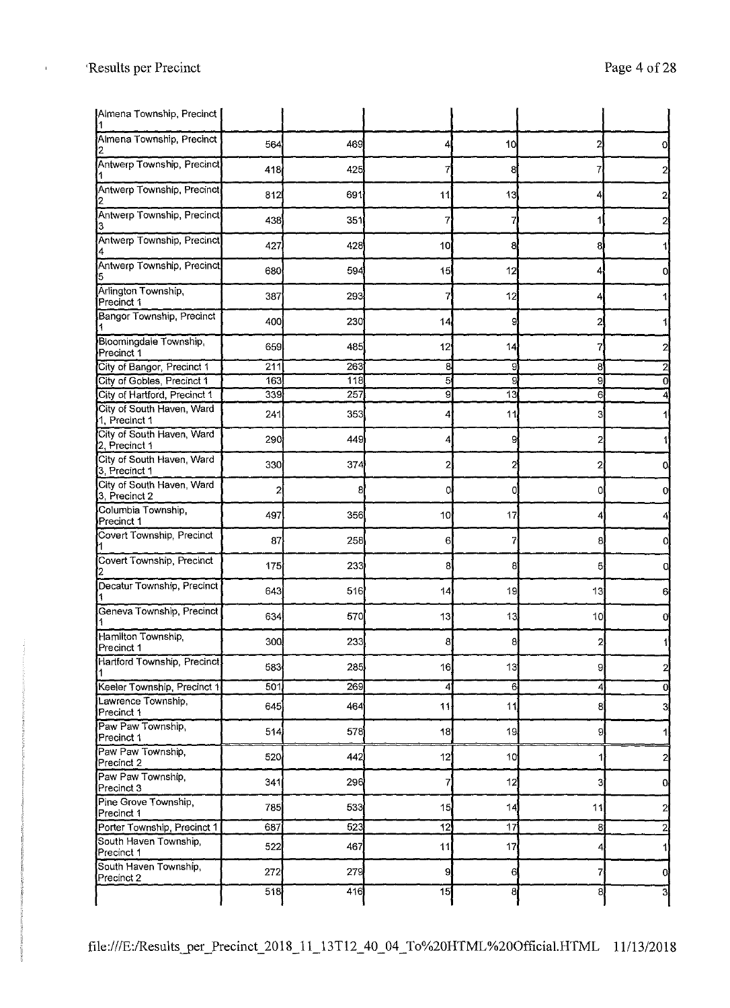| Almena Township, Precinct                  |     |     |                 |            |                |                |
|--------------------------------------------|-----|-----|-----------------|------------|----------------|----------------|
| Almena Township, Precinct                  | 564 | 469 | 4               | 10         |                |                |
| Antwerp Township, Precinct                 | 418 | 425 | 7               | 8          |                |                |
| Antwerp Township, Precinct                 | 812 | 691 | 11              | 13         |                |                |
| Antwerp Township, Precinct                 | 438 | 351 | 7               |            |                |                |
| Antwerp Township, Precinct                 | 427 | 428 | 10 <sub>l</sub> | 8          | 81             |                |
| Antwerp Township, Precinct,                | 680 | 594 | 15              | 12         |                |                |
| Arlington Township<br>Precinct 1           | 387 | 293 | 7               | 12         |                |                |
| <b>Bangor Township, Precinct</b>           | 400 | 230 | 14              | 9          |                |                |
| Bloomingdale Township,<br>Precinct 1       | 659 | 485 | 12              | 14         |                |                |
| City of Bangor, Precinct 1                 | 211 | 263 | 8               | 9          | 8              |                |
| City of Gobles, Precinct 1                 | 163 | 118 | 5               | 9          | 9              |                |
| City of Hartford, Precinct 1               | 339 | 257 | 9               | 13         | 6              |                |
| City of South Haven, Ward<br>1, Precinct 1 | 241 | 353 | 4               | 11         | З              |                |
| City of South Haven, Ward<br>2. Precinct 1 | 290 | 449 | 4               | 9          | 2              |                |
| City of South Haven, Ward<br>3, Precinct 1 | 330 | 374 | 2               | 21         | 2              |                |
| City of South Haven, Ward<br>3, Precinct 2 | 2   | 8   | O.              | 0          | 0l             |                |
| Columbia Township,<br>Precinct 1           | 497 | 356 | 10              | 17         |                |                |
| Covert Township, Precinct                  | 87  | 258 | 6               |            | 8,             |                |
| Covert Township, Precinct                  | 175 | 233 | 8               | 8          | 5              | 0l             |
| Decatur Township, Precinct                 | 643 | 516 | 14              | 19         | 13             | 61             |
| Geneva Township, Precinct                  | 634 | 570 | 13              | 13         | 10             |                |
| Hamilton Township,<br>Precinct 1           | 300 | 233 | 8 <sup>1</sup>  | 8          | $\overline{2}$ |                |
| Hartford Township, Precinct,               | 583 | 285 | 16              | 13         | 9              |                |
| Keeler Township, Precinct 1                | 501 | 269 | 4               | $6 \times$ | 4              | O.             |
| Lawrence Township,<br>Precinct 1           | 645 | 464 | 11              | 11         | 8              | 3              |
| Paw Paw Township,<br>Precinct 1            | 514 | 578 | 18              | 19         | 9              |                |
| Paw Paw Township,<br>Precinct 2            | 520 | 442 | 12              | 10         | 1              | 2              |
| Paw Paw Township,<br>Precinct 3            | 341 | 296 | 7               | 12         | 31             | 아              |
| Pine Grove Township,<br>Precinct 1         | 785 | 533 | 15              | 14         | 11             | 2              |
| Porter Township, Precinct 1                | 687 | 523 | 12              | 17         | $\mathbf{8}$   | $\overline{2}$ |
| South Haven Township,<br>Precinct 1        | 522 | 467 | 11              | 17         | 4              |                |
| South Haven Township,<br>Precinct 2        | 272 | 279 | 9               | $6 \mid$   | 7              | 0l             |
|                                            | 518 | 416 | 15              | 8          | 8              | 3              |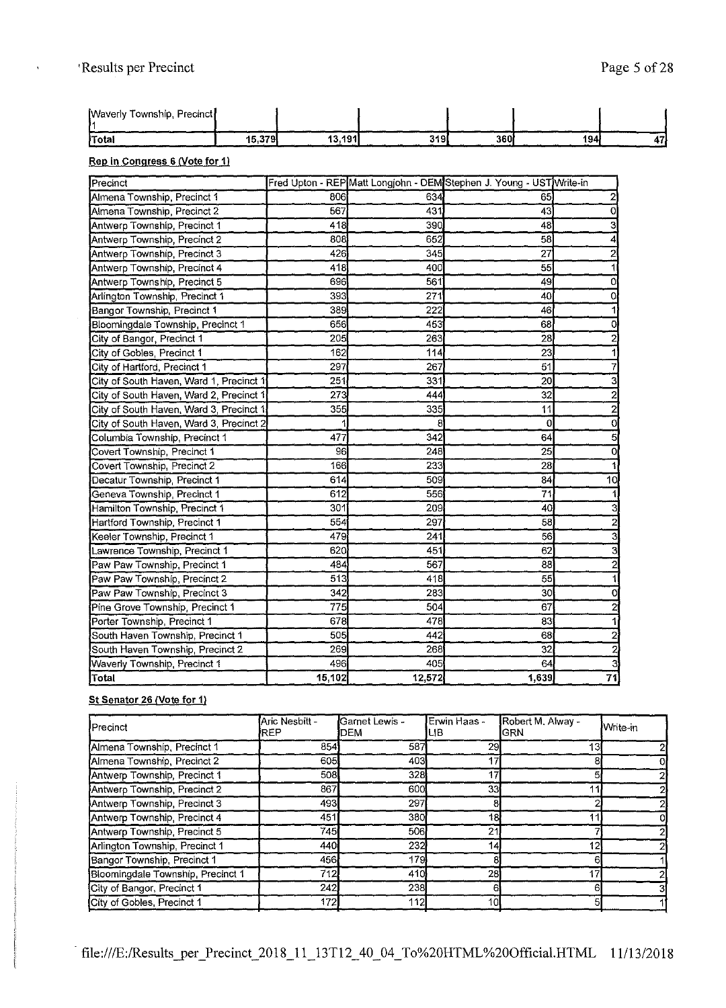| [Waverly Township, Precinct] |        |         |     |      |     |    |
|------------------------------|--------|---------|-----|------|-----|----|
| Total                        | 15,379 | 13.191' | 319 | 360i | 194 | 47 |

### **Rep in Congress 6 (Vote for 1)**

| Precinct                                |        |        | Fred Upton - REP Matt Longjohn - DEM Stephen J. Young - UST Write-in |    |
|-----------------------------------------|--------|--------|----------------------------------------------------------------------|----|
| Almena Township, Precinct 1             | 806    | 634    | 65                                                                   |    |
| Almena Township, Precinct 2             | 567    | 431    | 43                                                                   | 0  |
| Antwerp Township, Precinct 1            | 418    | 390    | 48                                                                   |    |
| Antwerp Township, Precinct 2            | 808    | 652    | 58                                                                   |    |
| Antwerp Township, Precinct 3            | 426    | 345    | 27                                                                   |    |
| Antwerp Township, Precinct 4            | 418    | 400    | 55                                                                   |    |
| Antwerp Township, Precinct 5            | 696    | 561    | 49                                                                   | 0  |
| Arlington Township, Precinct 1          | 393    | 271    | 40                                                                   | 0  |
| Bangor Township, Precinct 1             | 389    | 222    | 46                                                                   |    |
| Bloomingdale Township, Precinct 1       | 656    | 453    | 68                                                                   | Ω  |
| City of Bangor, Precinct 1              | 205    | 263    | 28                                                                   |    |
| City of Gobles, Precinct 1              | 162    | 114    | 23                                                                   |    |
| City of Hartford, Precinct 1            | 297    | 267    | 51                                                                   |    |
| City of South Haven, Ward 1, Precinct 1 | 251    | 331    | 20                                                                   | 3  |
| City of South Haven, Ward 2, Precinct ' | 273    | 444    | 32                                                                   | 2  |
| City of South Haven, Ward 3, Precinct 1 | 355    | 335    | 11                                                                   | 2  |
| City of South Haven, Ward 3, Precinct 2 |        | 8      | 0                                                                    | 0  |
| Columbia Township, Precinct 1           | 477    | 342    | 64                                                                   | 5  |
| Covert Township, Precinct 1             | 96     | 248    | 25                                                                   | 0  |
| Covert Township, Precinct 2             | 166    | 233    | 28                                                                   |    |
| Decatur Township, Precinct 1            | 614    | 509    | 84                                                                   | 10 |
| Geneva Township, Precinct 1             | 612    | 556    | 71                                                                   |    |
| Hamilton Township, Precinct 1           | 301    | 209    | 40                                                                   |    |
| Hartford Township, Precinct 1           | 554    | 297    | 58                                                                   |    |
| Keeler Township, Precinct 1             | 479    | 241    | 56                                                                   | 3  |
| Lawrence Township, Precinct 1           | 620    | 451    | 62                                                                   | 3  |
| Paw Paw Township, Precinct 1            | 484    | 567    | 88                                                                   | 2  |
| Paw Paw Township, Precinct 2            | 513    | 418    | 55                                                                   |    |
| Paw Paw Township, Precinct 3            | 342    | 283    | 30                                                                   | 0  |
| Pine Grove Township, Precinct 1         | 775    | 504    | 67                                                                   | 2  |
| Porter Township, Precinct 1             | 678    | 478    | 83                                                                   |    |
| South Haven Township, Precinct 1        | 505    | 442    | 68                                                                   | 2  |
| South Haven Township, Precinct 2        | 269    | 268    | 32                                                                   |    |
| Waverly Township, Precinct 1            | 496    | 405    | 64                                                                   |    |
| Total                                   | 15,102 | 12,572 | 1,639                                                                | 71 |

## **St Senator 26 (Vote for 1)**

| <b>I</b> Precinct                 | Aric Nesbitt -<br><b>IREP</b> | Garnet Lewis -<br>DEM | Erwin Haas -<br>LIВ | Robert M. Alway -<br><b>GRN</b> | <b>N</b> vrite-in |
|-----------------------------------|-------------------------------|-----------------------|---------------------|---------------------------------|-------------------|
| Almena Township, Precinct 1       | 854                           | 587                   | 29                  | 13                              |                   |
| Almena Township, Precinct 2       | 605                           | 403                   | 17                  | 81                              |                   |
| Antwerp Township, Precinct 1      | 508                           | 328                   | 17                  |                                 |                   |
| Antwerp Township, Precinct 2      | 867                           | 600                   | 33                  |                                 |                   |
| Antwerp Township, Precinct 3      | 493                           | 297                   | 8                   |                                 |                   |
| Antwerp Township, Precinct 4      | 451                           | 380                   | 18                  |                                 |                   |
| Antwerp Township, Precinct 5      | 745                           | 506                   | 21                  |                                 |                   |
| Arlington Township, Precinct 1    | 440                           | 232                   | 14                  | 12                              |                   |
| Bangor Township, Precinct 1       | 456                           | 179                   |                     |                                 |                   |
| Bloomingdale Township, Precinct 1 | 712                           | 410                   | 28                  | 17                              |                   |
| City of Bangor, Precinct 1        | 242                           | 238                   | 61                  | 61                              |                   |
| City of Gobles, Precinct 1        | 172                           | 112                   | 10 <sub>k</sub>     |                                 |                   |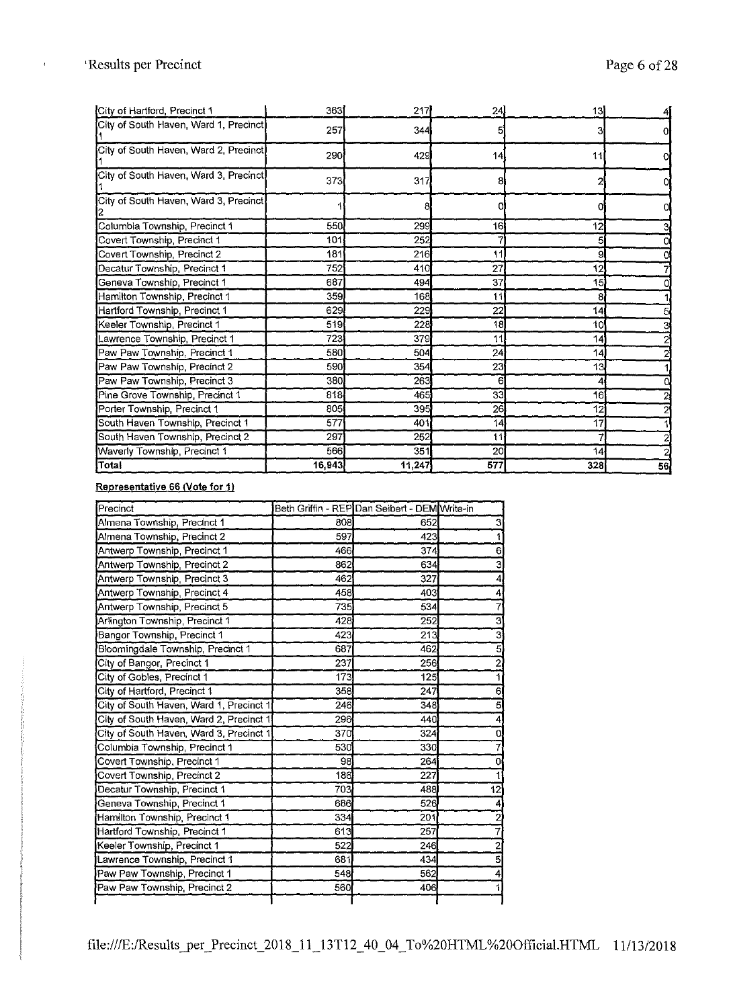$\bar{\mathrm{t}}$ 

 $\frac{1}{2} \left( \frac{1}{2} \right) \left( \frac{1}{2} \right) \left( \frac{1}{2} \right) \left( \frac{1}{2} \right) \left( \frac{1}{2} \right) \left( \frac{1}{2} \right) \left( \frac{1}{2} \right) \left( \frac{1}{2} \right) \left( \frac{1}{2} \right) \left( \frac{1}{2} \right) \left( \frac{1}{2} \right) \left( \frac{1}{2} \right) \left( \frac{1}{2} \right) \left( \frac{1}{2} \right) \left( \frac{1}{2} \right) \left( \frac{1}{2} \right) \left( \frac$ 

| City of Hartford, Precinct 1           | 363    | 217    | 24  | 13  |    |
|----------------------------------------|--------|--------|-----|-----|----|
| City of South Haven, Ward 1, Precinct  | 257    | 344    |     |     |    |
| City of South Haven, Ward 2, Precinct  | 290    | 429    | 14  | 11  |    |
| City of South Haven, Ward 3, Precinct. | 373    | 317    | 8   |     |    |
| City of South Haven, Ward 3, Precinct  |        |        |     |     |    |
| Columbia Township, Precinct 1          | 550    | 299    | 16  | 12  |    |
| Covert Township, Precinct 1            | 101    | 252    |     | 5   |    |
| Covert Township, Precinct 2            | 181    | 216    | 11  | 9   |    |
| Decatur Township, Precinct 1           | 752    | 410    | 27  | 12  |    |
| Geneva Township, Precinct 1            | 687    | 494    | 37  | 15  |    |
| Hamilton Township, Precinct 1          | 359    | 168    | 11  | 8   |    |
| Hartford Township, Precinct 1          | 629    | 229    | 22  | 14  |    |
| Keeler Township, Precinct 1            | 519    | 228    | 18  | 10  |    |
| Lawrence Township, Precinct 1          | 723    | 379    | 11  | 14  |    |
| Paw Paw Township, Precinct 1           | 580    | 504    | 24  | 14  |    |
| Paw Paw Township, Precinct 2           | 590    | 354    | 23  | 13  |    |
| Paw Paw Township, Precinct 3           | 380    | 263    | 6   | 4   |    |
| Pine Grove Township, Precinct 1        | 818    | 465    | 33  | 16  |    |
| Porter Township, Precinct 1            | 805    | 395    | 26  | 12  |    |
| South Haven Township, Precinct 1       | 577    | 401    | 14  | 17  |    |
| South Haven Township, Precinct 2       | 297    | 252    | 11  |     |    |
| Waverly Township, Precinct 1           | 566    | 351    | 20  | 14  |    |
| Total                                  | 16,943 | 11,247 | 577 | 328 | 56 |

#### **Representative 66 (Vote for 1)**

| Precinct                                |     | Beth Griffin - REP Dan Seibert - DEM Write-in |                |
|-----------------------------------------|-----|-----------------------------------------------|----------------|
| Almena Township, Precinct 1             | 808 | 652                                           | 3 <sub>l</sub> |
| Almena Township, Precinct 2             | 597 | 423                                           | 1              |
| Antwerp Township, Precinct 1            | 466 | 374                                           | 6              |
| Antwerp Township, Precinct 2            | 862 | 634                                           | $\overline{3}$ |
| Antwerp Township, Precinct 3            | 462 | 327                                           | 4              |
| Antwerp Township, Precinct 4            | 458 | 403                                           | 4              |
| Antwerp Township, Precinct 5            | 735 | 534                                           | 7              |
| Arlington Township, Precinct 1          | 428 | 252                                           | $\overline{3}$ |
| Bangor Township, Precinct 1             | 423 | 213                                           | $\overline{3}$ |
| Bloomingdale Township, Precinct 1       | 687 | 462                                           | $\overline{5}$ |
| City of Bangor, Precinct 1              | 237 | 256                                           | $\overline{2}$ |
| City of Gobles, Precinct 1              | 173 | 125                                           | 1              |
| City of Hartford, Precinct 1            | 358 | 247                                           | 6              |
| City of South Haven, Ward 1, Precinct 1 | 246 | 348                                           | $\overline{5}$ |
| City of South Haven, Ward 2, Precinct 1 | 296 | 440                                           | 4              |
| City of South Haven, Ward 3, Precinct 1 | 370 | 324                                           | 0              |
| Columbia Township, Precinct 1           | 530 | 330                                           | 7              |
| Covert Township, Precinct 1             | 98  | 264                                           | 0              |
| Covert Township, Precinct 2             | 186 | 227                                           |                |
| Decatur Township, Precinct 1            | 703 | 488                                           | 12             |
| Geneva Township, Precinct 1             | 686 | 526                                           | 4              |
| Hamilton Township, Precinct 1           | 334 | 201                                           | $\overline{2}$ |
| Hartford Township, Precinct 1           | 613 | 257                                           | 7              |
| Keeler Township, Precinct 1             | 522 | 246                                           | $\overline{2}$ |
| Lawrence Township, Precinct 1           | 681 | 434                                           | $\overline{5}$ |
| Paw Paw Township, Precinct 1            | 548 | 562                                           | 4              |
| Paw Paw Township, Precinct 2            | 560 | 406                                           | 1.             |
|                                         |     |                                               |                |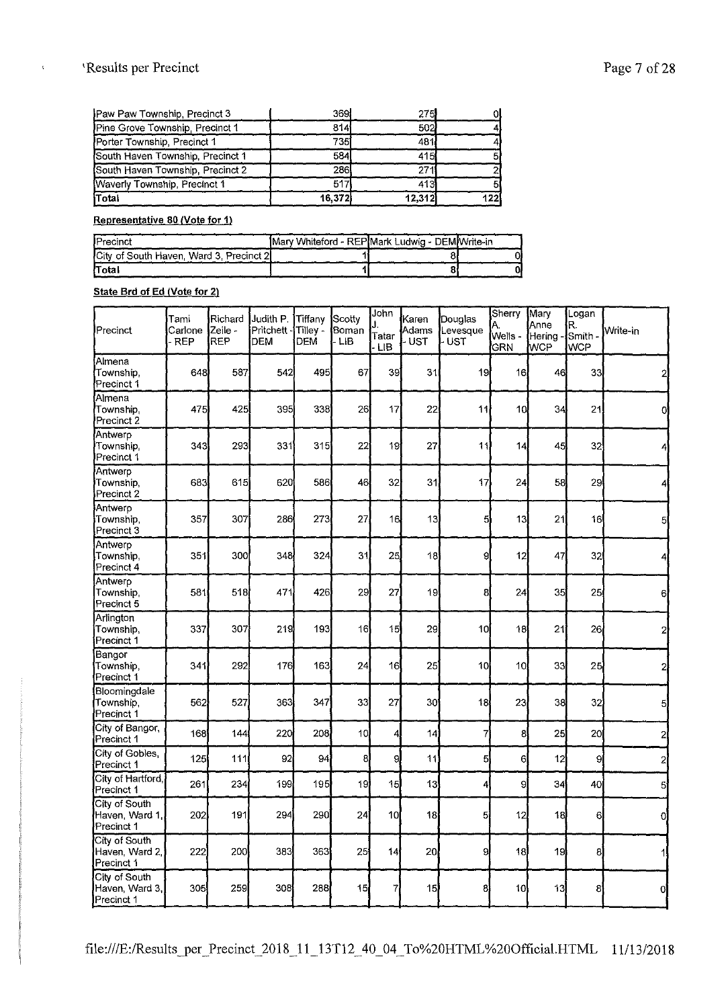## 'Results per Precinct Page 7 of 28

| Pine Grove Township, Precinct 1<br>Porter Township, Precinct 1 | 814<br>735Í | 502<br>481      |      |
|----------------------------------------------------------------|-------------|-----------------|------|
| South Haven Township, Precinct 1                               | 584         | 415             |      |
| South Haven Township, Precinct 2                               | <b>286</b>  | 27 <sub>1</sub> |      |
| Waverly Township, Precinct 1                                   | 517         | 413             |      |
| Total                                                          | 16.372      | 12.312          | 1221 |

#### **Representative 80 (Vote for 1}**

| <b>I</b> Precinct                        | Mary Whiteford - REP Mark Ludwig - DEM Write-in |  |
|------------------------------------------|-------------------------------------------------|--|
| City of South Haven, Ward 3, Precinct 2. |                                                 |  |
| lTotal                                   |                                                 |  |

#### **State Brd of Ed (Vote for 2)**

| Precinct                                      | Tami<br>Carlone<br>- REP | Richard<br>Zeile -<br>REP | Judith P.<br>Pritchett -<br><b>DEM</b> | Tiffanv<br>Tilley -<br><b>DEM</b> | Scotty<br>Boman<br>- LIB | John<br>Tatar<br><b>LIB</b> | Karen<br>Adams<br>- UST | Douglas<br>Levesque<br>- UST | Sherry<br>Α.<br>Wells -<br>GRN | Mary<br>Anne<br>Hering -<br>WCP | Logan<br>R.<br>Smith -<br><b>WCP</b> | Write-in       |
|-----------------------------------------------|--------------------------|---------------------------|----------------------------------------|-----------------------------------|--------------------------|-----------------------------|-------------------------|------------------------------|--------------------------------|---------------------------------|--------------------------------------|----------------|
| Almena<br>Township,<br>Precinct 1             | 648                      | 587                       | 542                                    | 495                               | 67                       | 39                          | 31                      | 19                           | 16                             | 46                              | 33                                   | 2              |
| Almena<br>Township,<br>Precinct 2             | 475                      | 425                       | 395                                    | 338                               | 26                       | 17                          | 22                      | 11                           | 10                             | 34                              | 21                                   | 0              |
| Antwerp<br>Township,<br>Precinct 1            | 343                      | 293                       | 331                                    | 315                               | 22                       | 19                          | 27                      | 11                           | 4                              | 45                              | 32                                   | 4              |
| Antwerp<br>Township.<br>Precinct 2            | 683                      | 615                       | 620                                    | 586                               | 46                       | 32                          | 31                      | 17                           | 24                             | 58                              | 29                                   | 4              |
| Antwerp<br>Township,<br>Precinct 3            | 357                      | 307                       | 286                                    | 273                               | 27                       | 16                          | 13                      | 5                            | 13                             | 21                              | 16                                   | 5              |
| Antwerp<br>Township,<br>Precinct 4            | 351                      | 300                       | 348                                    | 324                               | 31                       | 25                          | 18                      | 9                            | 12                             | 47                              | 32                                   | 4              |
| Antwerp<br>Township.<br>Precinct 5            | 581                      | 518                       | 471                                    | 426                               | 29                       | 27                          | 19                      | 8                            | 24                             | 35                              | 25                                   | 6              |
| Arlington<br>Township.<br>Precinct 1          | 337                      | 307                       | 219                                    | 193                               | 16                       | 15 <sup>1</sup>             | 29                      | 10 <sup>1</sup>              | 18                             | 21                              | 26                                   | 2              |
| Bangor<br>Township.<br>Precinct 1             | 341                      | 292                       | 176                                    | 163                               | 24                       | 16                          | 25                      | 10                           | 10                             | 33                              | 25                                   | 2              |
| Bloomingdale<br>Township.<br>Precinct 1       | 562                      | 527                       | 363                                    | 347                               | 33                       | 27                          | 30                      | 18                           | 23                             | 38                              | 32                                   | 5              |
| City of Bangor,<br>Precinct 1                 | 168                      | 144                       | 220                                    | 208                               | 10 <sub>l</sub>          | 4                           | 14                      | 7                            | 8                              | 25                              | 20 <sub>l</sub>                      | 2              |
| City of Gobles,<br>Precinct 1                 | 125                      | 111                       | 92                                     | 94                                | 8                        | 9                           | 11                      | 5                            | 6                              | 12                              | 9                                    | $\overline{c}$ |
| City of Hartford,<br>Precinct 1               | 261                      | 234                       | 199                                    | 195                               | 19                       | 15                          | 13                      | 4                            | 9                              | 34                              | 40                                   | 5              |
| City of South<br>Haven, Ward 1,<br>Precinct 1 | 202                      | 191                       | 294                                    | 290                               | 24                       | 10 <sub>l</sub>             | 18                      | $\overline{5}$               | 12                             | 18                              | 6                                    | O              |
| City of South<br>Haven, Ward 2,<br>Precinct 1 | 222                      | 200                       | 383                                    | 363                               | 25                       | 14                          | 20 <sub>1</sub>         | g                            | 18                             | 19                              | 8                                    | 1              |
| City of South<br>Haven, Ward 3.<br>Precinct 1 | 305                      | 259                       | 3081                                   | 288                               | 15                       | 7                           | 15                      | 8                            | 10                             | 13                              | 8                                    | d              |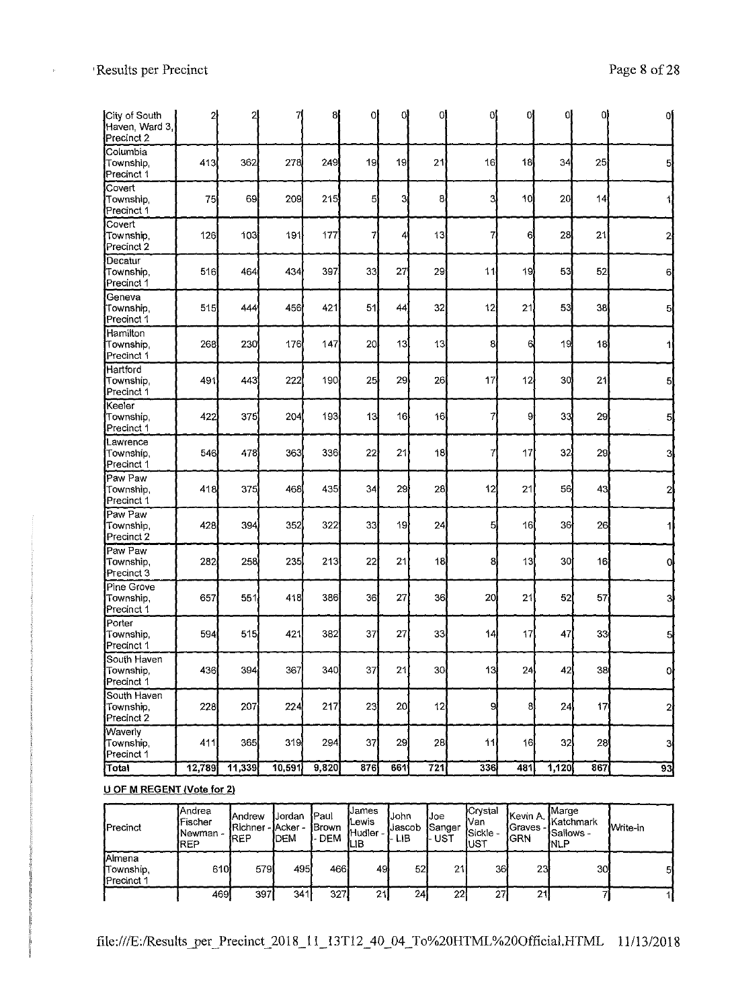$\mathbf{r}$ 

| City of South<br>Haven, Ward 3,<br>Precinct 2 | 2      | 2      |        | 8     | 0   | 0l  | ΟĪ               | 0l  | 01  | 0l    | 01  | οJ           |
|-----------------------------------------------|--------|--------|--------|-------|-----|-----|------------------|-----|-----|-------|-----|--------------|
| Columbia<br>Township,<br>Precinct 1           | 413    | 362    | 278    | 249   | 19  | 19  | 21               | 16  | 18  | 34    | 25  |              |
| Covert<br>Township,<br>Precinct 1             | 75     | 69     | 209    | 215   | 5   | 3İ  | 8                | 3   | 10  | 20    | 14  |              |
| Covert<br>Township,<br>Precinct 2             | 126    | 103    | 191    | 177   | 7   | 4   | 13               | 7   | 6   | 28    | 21  |              |
| Decatur<br>Township,<br>Precinct 1            | 516    | 464    | 434    | 397   | 33  | 27  | 29               | 11  | 19  | 53    | 52  | 6            |
| Geneva<br>Township,<br>Precinct 1             | 515    | 444    | 456    | 421   | 51  | 44  | 32               | 12  | 21  | 53    | 38  |              |
| Hamilton<br>Township.<br>Precinct 1           | 268    | 230    | 176    | 147   | 20  | 13  | 13               | 8   | 6   | 19    | 18  |              |
| Hartford<br>Township,<br>Precinct 1           | 491    | 443    | 222    | 190   | 25  | 29  | 26               | 17  | 12  | 30    | 21  |              |
| Keeler<br>Township,<br>Precinct 1             | 422    | 375    | 204    | 193   | 13  | 16  | 16               | 7   | 9   | 33    | 29  | 5            |
| <b>L</b> awrence<br>Township,<br>Precinct 1   | 546    | 478    | 363    | 336   | 22  | 21  | 18               | 7   | 17  | 32    | 29  | 31           |
| Paw Paw<br>Township,<br>Precinct 1            | 418    | 375    | 468    | 435   | 34  | 29  | 28               | 12  | 21  | 56    | 43  |              |
| Paw Paw<br>Township,<br>Precinct 2            | 428    | 394    | 352    | 322   | 33  | 19  | 24               | 5   | 16  | 36    | 26  |              |
| Paw Paw<br>Township,<br>Precinct 3            | 282    | 258    | 235    | 213   | 22  | 21  | 13               | 8   | 13  | 30    | 16  |              |
| Pine Grove<br>Township,<br>Precinct 1         | 657    | 551    | 418    | 386   | 36  | 27  | 36               | 20  | 21  | 52    | 57  | 3            |
| Porter<br>Township,<br>Precinct 1             | 594    | 515    | 421    | 382   | 37  | 27  | 33               | 14) | 17  | 47    | 33  | 타            |
| South Haven<br>Township,<br>Precinct 1        | 436    | 394    | 367    | 340)  | 37  | 21  | 30 <sub>l</sub>  | 13  | 24  | 42    | 38  | οI           |
| South Haven<br>Township,<br>Precinct 2        | 228    | 207    | 224    | 217   | 23  | 20  | 12               | 9   | 8   | 24    | 17  | $\mathbf{2}$ |
| <b>Waverly</b><br>Township,<br>Precinct 1     | 411    | 365    | 319    | 294   | 37  | 29  | 28               | 11  | 16  | 32    | 28  | 3            |
| Total                                         | 12,789 | 11,339 | 10,591 | 9,820 | 876 | 661 | $\overline{721}$ | 336 | 481 | 1,120 | 867 | 93]          |

## **U OF M REGENT (Vote for 2)**

| Precinct                                                  | <b>IAndrea</b><br>lFischer<br>Newman -<br>IREP | IAndrew<br>Richner<br><b>REP</b> | Jordan<br>∵- IAcker -<br><b>DEM</b> | Paul<br><b>i</b> Brown<br><b>DEM</b><br>ь. | IJames<br><b>i</b> Lewis<br>Hudler -<br>ЩB | lJohn<br>lJascob<br>I- LIB | IJoe<br>Sanger<br>UST | <b>I</b> Crvstal<br>Nan<br><b>Sickle -</b><br>,∪ST | lKevin A. ∣<br><b>Graves</b> -<br>IGRN | <b>I</b> Marge<br><b>lKatchmark</b><br><b>I</b> Sallows -<br>INLP | Write-in |
|-----------------------------------------------------------|------------------------------------------------|----------------------------------|-------------------------------------|--------------------------------------------|--------------------------------------------|----------------------------|-----------------------|----------------------------------------------------|----------------------------------------|-------------------------------------------------------------------|----------|
| <b>I</b> Almena<br><b>iTownship.</b><br><b>Precinct 1</b> | 610                                            | 579                              | 495                                 | 466I                                       | 49                                         | 52                         | 21                    | 36                                                 | 23                                     | 30I                                                               | 51       |
|                                                           | 469                                            | 397                              | 341                                 | 327                                        | 21                                         | 24                         | 22i                   | 27                                                 | 21                                     |                                                                   |          |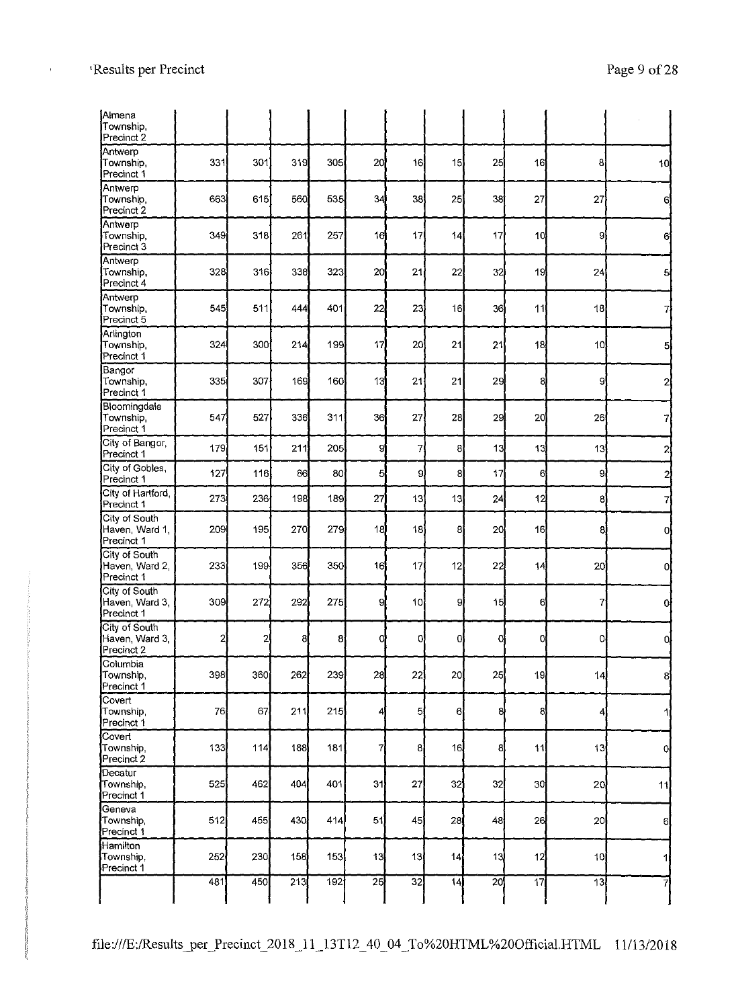| <b>[Almena</b><br>Township,<br>Precinct 2     |              |     |      |     |                |                 |    |    |                 |                 |                 |
|-----------------------------------------------|--------------|-----|------|-----|----------------|-----------------|----|----|-----------------|-----------------|-----------------|
| Antwerp<br>Township,<br>Precinct 1            | 331          | 301 | 319  | 305 | 20             | 16              | 15 | 25 | 16              | 8               | 10 <sup>1</sup> |
| Antwerp<br>Township,<br>Precinct 2            | 663          | 615 | 560  | 535 | 34             | 38              | 25 | 38 | 27              | 27              | 6               |
| Antwerp<br>Township,<br>Precinct 3            | 349          | 318 | 261  | 257 | 16             | 17              | 14 | 17 | 10              | 9               | 6               |
| Antwerp<br>Township,<br>Precinct 4            | 328          | 316 | 338  | 323 | 20             | 21              | 22 | 32 | 19              | 24              | 5               |
| Antwerp<br>Township,<br>Precinct 5            | 545          | 511 | 444  | 401 | 22             | 23              | 16 | 36 | 11              | 18              | 7               |
| Arlington<br>Township,<br>Precinct 1          | 324          | 300 | 214  | 199 | 17             | 20              | 21 | 21 | 18              | 10 <sub>l</sub> | $\mathbf{5}$    |
| Bangor<br>Township,<br>Precinct 1             | 335          | 307 | 169  | 160 | 13             | 21              | 21 | 29 | 8               | 9               | 2               |
| Bloomingdale<br>Township,<br>Precinct 1       | 547          | 527 | 336  | 311 | 36             | 27              | 28 | 29 | 20              | 26              | 7               |
| City of Bangor,<br>Precinct 1                 | 179          | 151 | 211  | 205 | 9              | $\overline{7}$  | 8  | 13 | 13              | 13              | $\mathbf{z}$    |
| City of Gobles,<br>Precinct 1                 | 127          | 116 | 86   | 80  | 5              | 9l              | 8  | 17 | 6               | 9               | 2               |
| City of Hartford,<br>Precinct 1               | 273          | 236 | 198  | 189 | 27             | 13              | 13 | 24 | 12              | 8               | 71              |
| City of South<br>Haven, Ward 1,<br>Precinct 1 | 209          | 195 | 270  | 279 | 18             | 18              | 8  | 20 | 16              | 8               | 0l              |
| City of South<br>Haven, Ward 2,<br>Precinct 1 | 233          | 199 | 356  | 350 | 16             | 17              | 12 | 22 | 4               | 20 <sup>1</sup> | 0l              |
| City of South<br>Haven, Ward 3,<br>Precinct 1 | 309          | 272 | 292  | 275 | 9              | 10 <sub>l</sub> | 9  | 15 | 6               |                 | <sub>0</sub>    |
| City of South<br>Haven, Ward 3,<br>Precinct 2 | $\mathbf{2}$ | 2   | 8    | 8   | 0              | oļ              | 0l | 0  | O               | 0l              | 0,              |
| Columbia<br>Township,<br>Precinct 1           | 398          | 360 | 262  | 239 | 28             | 22              | 20 | 25 | 19              | 14              | 8               |
| Covert<br>Township,<br>Precinct 1             | 76           | 67  | 211  | 215 | 4              | 5               | 6  | 8  | 8               | 4               |                 |
| Covert<br>Township,<br>Precinct 2             | 133          | 114 | 188∫ | 181 | $\overline{7}$ | 8               | 16 | 8  | 11              | 13              | $\overline{0}$  |
| Decatur<br>Township,<br>Precinct <sup>1</sup> | 525          | 462 | 404  | 401 | 31             | 27              | 32 | 32 | 30              | 20              | 11              |
| Geneva<br>Township,<br>Precinct 1             | 512          | 455 | 430  | 414 | 51             | 45              | 28 | 48 | 26              | 20              | 6               |
| Hamilton<br>Township,<br>Precinct 1           | 252          | 230 | 158  | 153 | 13             | 13              | 14 | 13 | 12              | 10 <sup>1</sup> | 11              |
|                                               | 481          | 450 | 213  | 192 | 25             | 32              | 14 | 20 | $\overline{17}$ | $\overline{1}3$ |                 |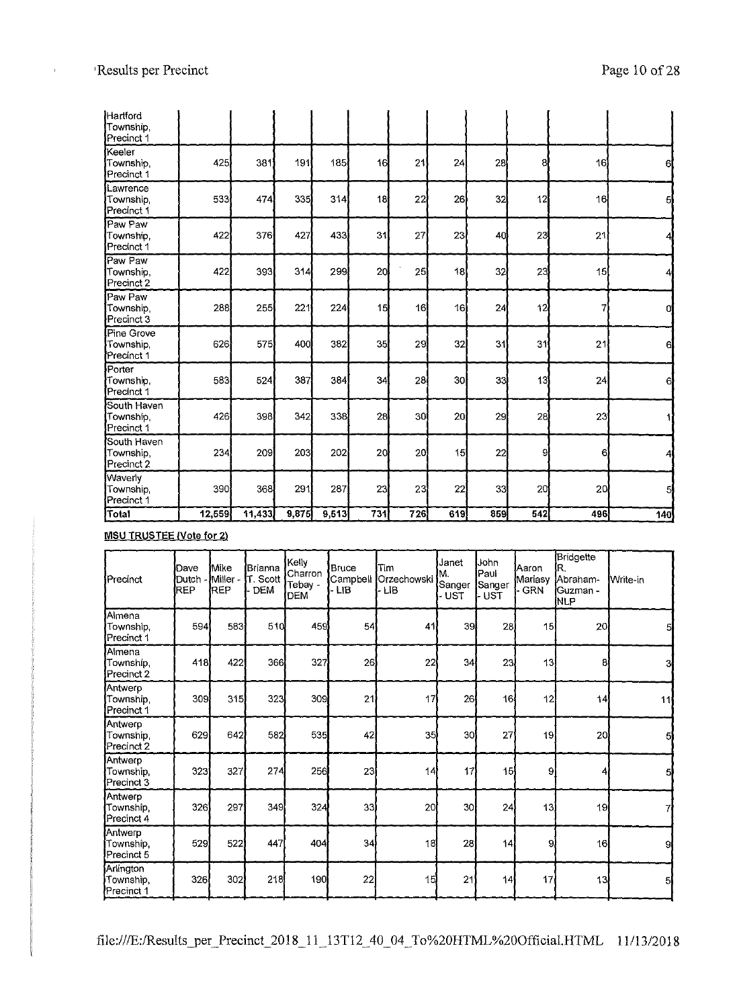$\bar{1}$ 

| Hartford<br>Township.<br>Precinct 1       |        |        |       |       |     |                 |                 |     |                |     |     |
|-------------------------------------------|--------|--------|-------|-------|-----|-----------------|-----------------|-----|----------------|-----|-----|
| Keeler<br>Township,<br>Precinct 1         | 425    | 381    | 191   | 185   | 16  | 21              | 24              | 28  | 8              | 16  | 61  |
| Lawrence<br>Township,<br>Precinct 1       | 533    | 474    | 335   | 314   | 18  | 22              | 26              | 32  | 12             | 16  | 5   |
| Paw Paw<br>Township,<br>Precinct 1        | 422    | 376    | 427   | 433   | 31  | 27              | 23              | 40  | 23             | 21  |     |
| Paw Paw<br>Township,<br>Precinct 2        | 422    | 393    | 314   | 299   | 20  | 25              | 18              | 32  | 23             | 15  | 4   |
| Paw Paw<br>Township,<br>Precinct 3        | 288    | 255    | 221   | 224   | 15  | 16              | 16              | 24  | 12             | 7   | 0   |
| Pine Grove<br>Township,<br>Precinct 1     | 626    | 575    | 400   | 382   | 35  | 29              | 32              | 31  | 3 <sub>1</sub> | 21  | 6   |
| Porter<br>Township,<br>Precinct 1         | 583    | 524    | 387   | 384   | 34  | 28              | 30              | 33  | 13             | 24  | 6   |
| South Haven<br>Township<br>Precinct 1     | 426    | 398    | 342   | 338   | 28  | 30 <sup>1</sup> | 20 <sub>l</sub> | 29  | 28             | 23  |     |
| South Haven<br>Township,<br>Precinct 2    | 234    | 209    | 203   | 202   | 20  | 20              | 15              | 22  | 9              | 61  | 4   |
| <b>Waverly</b><br>Township,<br>Precinct 1 | 390    | 368    | 291   | 287   | 23  | 23              | 22              | 33  | 20             | 20  | 5   |
| Total                                     | 12,559 | 11,433 | 9,875 | 9,513 | 731 | 726             | 619             | 859 | 542            | 496 | 140 |

**MSU TRUSTEE Note for 2)** 

| Precinct                             | Dave<br>Dutch<br>REP | <b>i</b> Mike<br>Miller-<br>REP | lBrianna<br>T. Scott<br><b>DEM</b> | Kelly<br>Charron<br>Tebay -<br><b>DEM</b> | Bruce<br>Campbell<br><b>LIB</b> | Tim<br><b>Orzechowski</b><br>- LIB | Janet<br>M.<br>Sanger<br><b>UST</b> | John<br>lPaul.<br>Sanger<br><b>UST</b> | Aaron<br>Mariasy<br><b>GRN</b> | Bridgette<br>IR.<br>Abraham-<br><b>i</b> Guzman -<br><b>INLP</b> | Write-in |
|--------------------------------------|----------------------|---------------------------------|------------------------------------|-------------------------------------------|---------------------------------|------------------------------------|-------------------------------------|----------------------------------------|--------------------------------|------------------------------------------------------------------|----------|
| Almena<br>Township,<br>Precinct 1    | 594                  | 583                             | 510                                | 459                                       | 54                              | 41                                 | 39                                  | 28                                     | 15                             | 20                                                               | 5        |
| Almena<br>Township,<br>Precinct 2    | 418                  | 422                             | 366                                | 327                                       | 26                              | 22                                 | 34                                  | 23                                     | 13                             | 8                                                                | 3        |
| Antwerp<br>Township,<br>Precinct 1   | 309                  | 315                             | 323                                | 309                                       | 21                              | 17                                 | 26                                  | 16                                     | 12                             | 14                                                               | 11       |
| Antwerp<br>Township,<br>Precinct 2   | 629                  | 642                             | 582                                | 535                                       | 42                              | 35 <sup>1</sup>                    | 30 <sup>1</sup>                     | 27                                     | 19                             | 20                                                               | 5        |
| Antwerp<br>Township,<br>Precinct 3   | 323                  | 327                             | 274                                | 256                                       | 23                              | 14                                 | 17                                  | 15                                     | 9                              | 4                                                                | 5        |
| Antwerp<br>Township,<br>Precinct 4   | 326                  | 297                             | 349                                | 324                                       | 33                              | 20                                 | 30 <sup>1</sup>                     | 24                                     | 3                              | 19                                                               |          |
| Antwerp<br>Township,<br>Precinct 5   | 529                  | 522                             | 447                                | 404                                       | 34                              | 18                                 | 28                                  | 14                                     | 9                              | 16                                                               | я        |
| Arlington<br>Township,<br>Precinct 1 | 326                  | 302                             | 218                                | 190                                       | 22                              | 15                                 | 21                                  | 14                                     | 17                             | 13                                                               | 51       |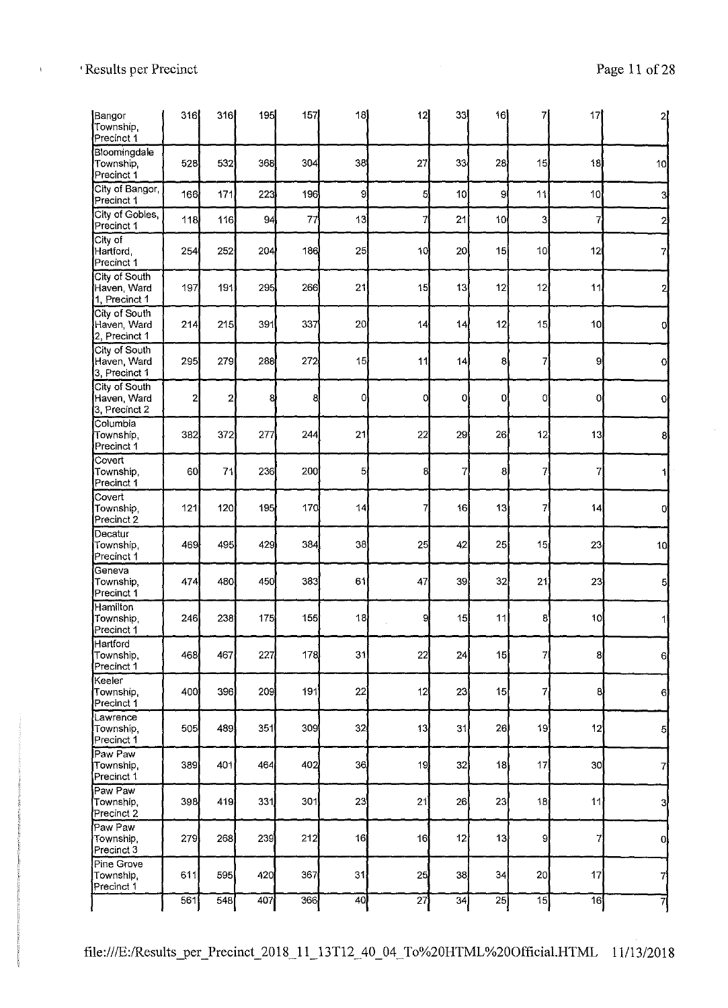| Bangor<br>Township,<br>Precinct 1             | 316          | 316            | 195 | 157 | 18             | 12 | 33              | 16              | 7               | 17 |                 |
|-----------------------------------------------|--------------|----------------|-----|-----|----------------|----|-----------------|-----------------|-----------------|----|-----------------|
| Bloomingdale<br>Township,<br>Precinct 1       | 528          | 532            | 368 | 304 | 38             | 27 | 33              | 28              | 15              | 18 | 10              |
| City of Bangor,<br>Precinct 1                 | 166          | 171            | 223 | 196 | 9              | 5  | 10 <sup>1</sup> | 9               | 11              | 10 | 3               |
| City of Gobles,<br>Precinct 1                 | 118          | 116            | 94  | 77  | 13             | 7  | 21              | 10 <sub>1</sub> | 3               | 7  |                 |
| City of<br>Hartford,<br>Precinct 1            | 254          | 252            | 204 | 186 | 25             | 10 | 20              | 15              | 10 <sub>1</sub> | 12 |                 |
| City of South<br>Haven, Ward<br>1, Precinct 1 | 197          | 191            | 295 | 266 | 21             | 15 | 13              | 12              | 12              | 11 |                 |
| City of South<br>Haven, Ward<br>2, Precinct 1 | 214          | 215            | 391 | 337 | 20             | 14 | 14              | 12              | 15              | 10 |                 |
| City of South<br>Haven, Ward<br>3, Precinct 1 | 295          | 279            | 288 | 272 | 15             | 11 | 14              | $\mathbf{8}$    | $\overline{7}$  | 9  | O               |
| City of South<br>Haven, Ward<br>3, Precinct 2 | $\mathbf{2}$ | $\overline{2}$ | 8   | 8   | 0              | Ω  | 0               | 0               | <sub>0</sub>    | 0  | 0               |
| Columbia<br>Township,<br>Precinct 1           | 382          | 372            | 277 | 244 | 2 <sup>1</sup> | 22 | 29              | 26              | 12              | 13 | 81              |
| Covert<br>Township,<br>Precinct 1             | 60           | 71             | 236 | 200 | 5              | 8  | 7               | 8               | $\mathbf{7}$    | 7  |                 |
| Covert<br>Township,<br>Precinct 2             | 121          | 120            | 195 | 170 | 14             |    | 16              | 13              | 7               | 14 |                 |
| Decatur<br>Township,<br>Precinct 1            | 469          | 495            | 429 | 384 | 38             | 25 | 42              | 25              | 15              | 23 | 10 <sub>1</sub> |
| Geneva<br>Township,<br>Precinct 1             | 474          | 480            | 450 | 383 | 61             | 47 | 39              | 32              | 21              | 23 | 5               |
| Hamilton<br>Township<br>Precinct 1            | 246          | 238            | 175 | 155 | 18             | 9  | 15              | 11              | 8               | 10 |                 |
| Hartford<br>Township,<br>Precinct 1           | 468          | 467            | 227 | 178 | 3 <sup>1</sup> | 22 | 24              | 15              | 7               | 8  | 6               |
| Keeler<br>Township,<br>Precinct 1             | 400          | 396            | 209 | 191 | 22             | 12 | 23              | 15              | 7               | 8  | 6               |
| Lawrence<br>Township,<br>Precinct 1           | 505          | 489            | 351 | 309 | 32             | 13 | 31              | 26              | 19              | 12 | 5               |
| Paw Paw<br>Township,<br>Precinct 1            | 389          | 401            | 464 | 402 | 36             | 19 | 32              | 18              | 17              | 30 | 71              |
| Paw Paw<br>Township,<br>Precinct 2            | 398          | 419            | 331 | 301 | 23             | 21 | 26              | 23              | 18              | 11 | 3               |
| Paw Paw<br>Township,<br>Precinct 3            | 279          | 268            | 239 | 212 | 16             | 16 | 12              | 13              | 9               | 7  | <sub>O</sub>    |
| Pine Grove<br>Township.<br>Precinct 1         | 611          | 595            | 420 | 367 | 31             | 25 | 38              | 34              | 20 <sup>1</sup> | 17 | 7               |
|                                               | 561          | 548            | 407 | 366 | 40             | 27 | 34              | 25              | $\overline{15}$ | 16 | $\overline{7}$  |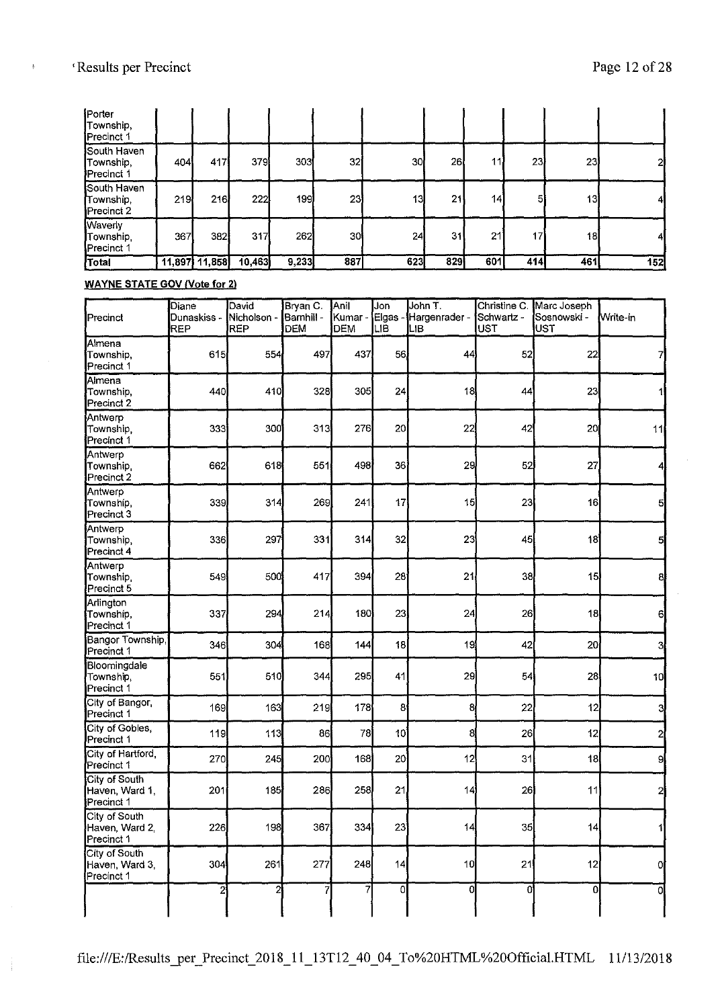| Porter<br>Township.<br>Precinct 1                    |     |               |              |       |                 |     |     |                 |     |     |     |
|------------------------------------------------------|-----|---------------|--------------|-------|-----------------|-----|-----|-----------------|-----|-----|-----|
| South Haven<br>Township,<br><b>Precinct 1</b>        | 404 | 417           | 379 <b>1</b> | 303   | 32 <sup>1</sup> | 30  | 26  | 11              | 231 | 23) | 21  |
| <b>South Haven</b><br>Township,<br><b>Precinct 2</b> | 219 | 216           | 222          | 199   | 23              | 13  | 21  | 14 <sub>1</sub> | 5   | 13  |     |
| <b>Waverly</b><br>]Township,<br>Precinct 1           | 367 | 382           | 317          | 262   | 30              | 24  | 31  | 21              | 17  | 18  | 41  |
| Total                                                |     | 11,897 11,858 | 10,463       | 9,233 | 887             | 623 | 829 | 601             | 414 | 461 | 152 |

**WAYNE STATE GOV /Vote for 2)** 

| Precinct                                      | Diane<br>Dunaskiss -<br>REP | David<br>Nicholson -<br>REP | Bryan C.<br>Barnnill -<br>DEM | Anil<br>Kumar -<br>DEM | Jon<br>Elgas -<br>LIB | John T.<br>Hargenrader -<br>Lв | Christine C.<br>Schwartz -<br>lust | Marc Joseph<br>Sosnowski -<br>lust | Write-in       |
|-----------------------------------------------|-----------------------------|-----------------------------|-------------------------------|------------------------|-----------------------|--------------------------------|------------------------------------|------------------------------------|----------------|
| Almena<br>Township.<br>Precinct 1             | 615                         | 554                         | 497                           | 437                    | 56                    | 44                             | 52                                 | 22                                 |                |
| Almena<br>Township,<br>Precinct 2             | 440                         | 410                         | 328                           | 305                    | 24                    | 18                             | 44                                 | 23                                 |                |
| Antwerp<br>Township,<br>Precinct 1            | 333                         | 300                         | 313                           | 276                    | 20                    | 22                             | 42                                 | 20                                 | 11             |
| Antwerp<br>Township<br>Precinct 2             | 662                         | 618                         | 551                           | 498                    | 36                    | 29                             | 52                                 | 27                                 |                |
| Antwerp<br>Township,<br>Precinct 3            | 339                         | 314                         | 269                           | 241                    | 17                    | 15                             | 23                                 | 16                                 | 5              |
| Antwerp<br>Township,<br>Precinct 4            | 336                         | 297                         | 331                           | 314                    | 32                    | 23                             | 45                                 | 18                                 | 5              |
| Antwerp<br>Township.<br>Precinct 5            | 549                         | 500                         | 417                           | 394                    | 28                    | 21                             | 38                                 | 15                                 | 8              |
| Arlington<br>Township,<br>Precinct 1          | 337                         | 294                         | 214                           | 180                    | 23                    | 24                             | 26                                 | 18                                 | 6              |
| Bangor Township,<br>Precinct 1                | 346                         | 304                         | 168                           | 144                    | 18                    | 19                             | 42                                 | 20                                 | 3              |
| Bloomingdale<br>Township,<br>Precinct 1       | 551                         | 510                         | 344                           | 295                    | 4 <sub>1</sub>        | 29                             | 54                                 | 28                                 | 10             |
| City of Bangor,<br>Precinct 1                 | 169                         | 163                         | 219                           | 178                    | 8 <sup>1</sup>        | 8                              | 22                                 | 12                                 | 3              |
| City of Gobles,<br>Precinct 1                 | 119                         | 113                         | 86                            | 78                     | 10                    | 8                              | 26                                 | 12                                 | $\overline{2}$ |
| City of Hartford,<br>Precinct 1               | 270                         | 245                         | 200                           | 168                    | 20                    | 12                             | 31                                 | 18                                 | 9              |
| City of South<br>Haven, Ward 1,<br>Precinct 1 | 201                         | 185                         | 286                           | 258                    | 21                    | 4                              | 26                                 | 11                                 | 2              |
| City of South<br>Haven, Ward 2,<br>Precinct 1 | 226                         | 198                         | 367                           | 334                    | 23                    | 14                             | 35                                 | 14                                 |                |
| City of South<br>Haven, Ward 3,<br>Precinct 1 | 304                         | 261                         | 277                           | 248                    | 14                    | 10 <sup>1</sup>                | 21                                 | 12                                 | 0              |
|                                               | $\mathbf{z}$                | 2                           | 7                             | 7                      | ٥l                    | 0                              | 0                                  | $\overline{0}$                     | 0              |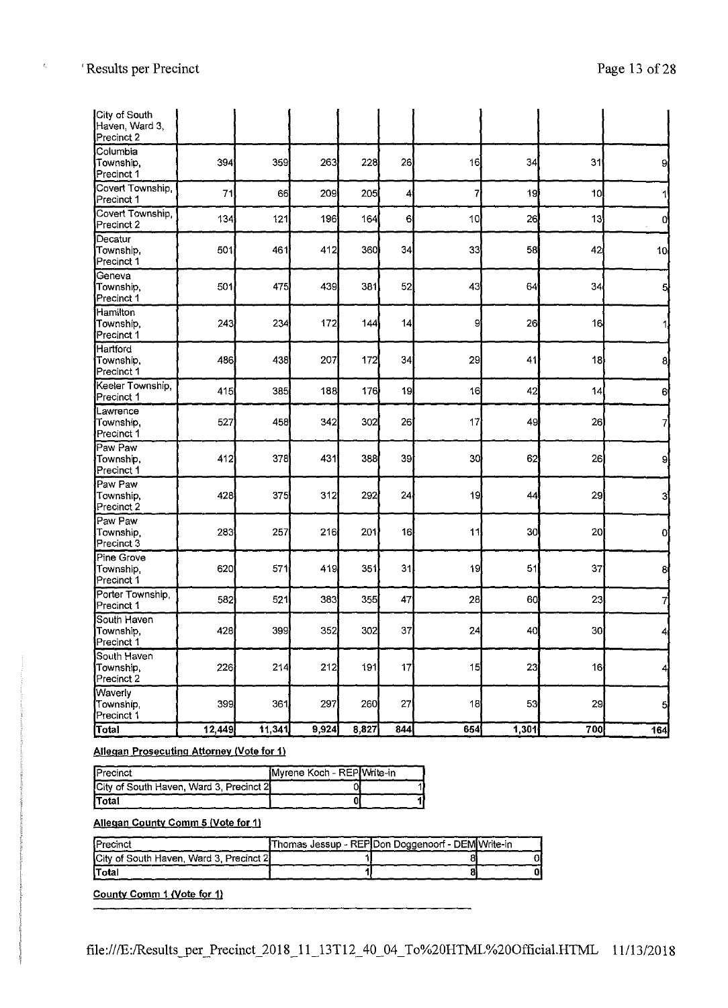$\mathcal{L}_1$ 

| City of South<br>Haven, Ward 3,<br>Precinct 2 |        |        |       |                  |                  |     |                 |                 |                 |
|-----------------------------------------------|--------|--------|-------|------------------|------------------|-----|-----------------|-----------------|-----------------|
| Columbia<br>Township,<br>Precinct 1           | 394    | 359    | 263   | 228              | 26               | 16  | 34              | 31              | 9               |
| Covert Township<br>Precinct 1                 | 71     | 66     | 209   | 205              | 4                | 7   | 19              | 10 <sub>1</sub> |                 |
| Covert Township,<br>Precinct 2                | 134    | 121    | 196   | 164              | 6                | 10  | 26              | 13              | 0               |
| Decatur<br>Township,<br>Precinct 1            | 501    | 461    | 412   | 360)             | 34               | 33  | 58              | 42              | 10 <sub>1</sub> |
| Geneva<br>Township,<br>Precinct 1             | 501    | 475    | 439   | 381              | 52               | 43  | 64              | 34              | 5               |
| Hamilton<br>Township.<br>Precinct 1           | 243    | 234    | 172   | 144              | 14               | 9   | 26              | 16              | 1               |
| Hartford<br>Township,<br>Precinct 1           | 486    | 438    | 207   | 172              | 34               | 29  | 41              | 18              | 8               |
| Keeler Township,<br>Precinct 1                | 415    | 385    | 188   | 176              | 19               | 16  | 42              | 14              | 6               |
| Lawrence<br>Township,<br>Precinct 1           | 527    | 458    | 342   | 302              | 26               | 17  | 49              | 26              | 7               |
| Paw Paw<br>Township,<br>Precinct 1            | 412    | 378    | 431   | 388              | 39               | 30  | 62              | 26              | 9               |
| Paw Paw<br>Township,<br>Precinct 2            | 428    | 375    | 312   | 292              | 24               | 19  | 44              | 29              | 3               |
| Paw Paw<br>Township,<br>Precinct 3            | 283    | 257    | 216   | 201              | 16               | 11  | 30 <sub>1</sub> | 20 <sup>1</sup> | o               |
| Pine Grove<br>Township,<br>Precinct 1         | 620    | 571    | 419   | 351              | 31               | 19  | 51              | 37              | 8               |
| Porter Township,<br>Precinct 1                | 582    | 521    | 383   | 355              | 47               | 28  | 60              | 23              | 7               |
| South Haven<br>Township.<br>Precinct 1        | 428    | 399)   | 352   | 302              | 37               | 24  | 40              | 30Ì             | 4               |
| South Haven<br>Township,<br>Precinct 2        | 226    | 214    | 212   | 191              | 17               | 15  | 23              | 16              | $\overline{4}$  |
| Waverly<br>Township,<br>Precinct 1            | 399    | 361    | 297   | 260 <sup>1</sup> | 27               | 18  | 53              | 29              | $\overline{5}$  |
| Total                                         | 12,449 | 11,341 | 9,924 | 8,827            | $\overline{844}$ | 654 | 1,301           | 700             | 164             |

#### **Allegan Prosecuting Attorney (Vote for 1)**

| <b>I</b> Precinct                       | Myrene Koch - REP Write-in |  |
|-----------------------------------------|----------------------------|--|
| City of South Haven, Ward 3, Precinct 2 |                            |  |
| <b>Total</b>                            |                            |  |

#### **Allegan County Comm 5 (Vote for 11**

| <b>IPrecinct</b>                        | Thomas Jessup - REP Don Doggenoorf - DEM Write-in |    |
|-----------------------------------------|---------------------------------------------------|----|
| City of South Haven, Ward 3, Precinct 2 |                                                   |    |
| lTotal                                  |                                                   | 01 |

**County Comm 1** *Note* **for 11**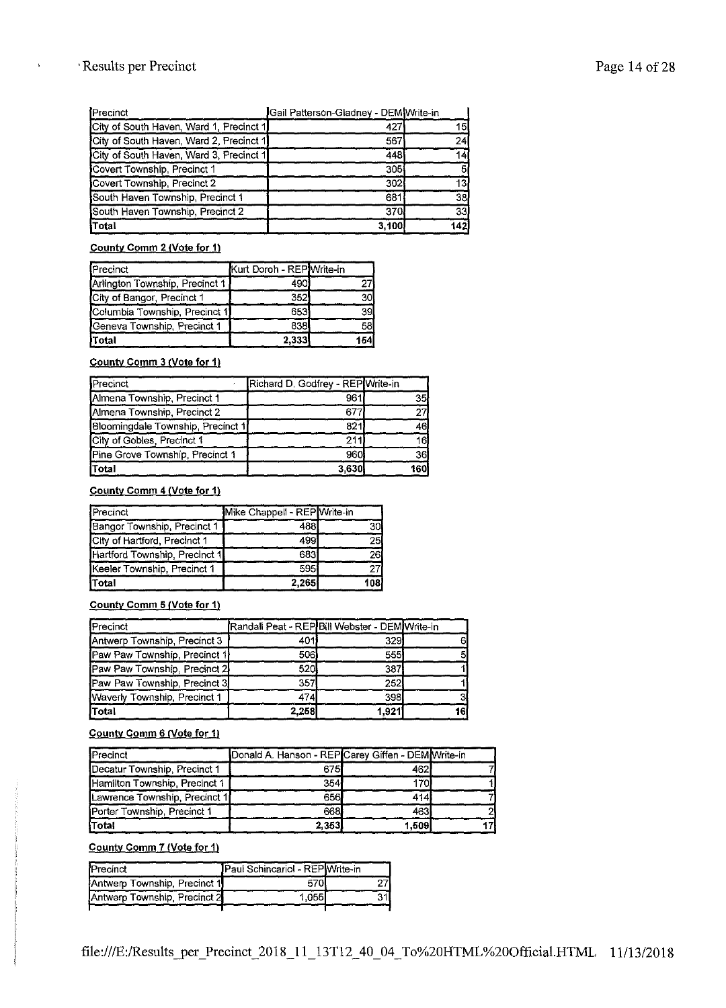## 'Results per Precinct Page 14 of 28

| Precinct                                | Gail Patterson-Gladney - DEM Write-in |                 |
|-----------------------------------------|---------------------------------------|-----------------|
| City of South Haven, Ward 1, Precinct 1 | 427                                   | 5               |
| City of South Haven, Ward 2, Precinct 1 | 567                                   | 24              |
| City of South Haven, Ward 3, Precinct 1 | 448                                   | 14              |
| Covert Township, Precinct 1             | 305                                   | 51              |
| Covert Township, Precinct 2             | 302                                   | 13 <sub>l</sub> |
| South Haven Township, Precinct 1        | 681                                   | 38              |
| South Haven Township, Precinct 2        | 370                                   | 33 <sub>1</sub> |
| Total                                   | 3,100                                 | 142             |

#### **County Comm 2 (Vote for 1)**

| Precinct                         | Kurt Doroh - REP Write-in |      |
|----------------------------------|---------------------------|------|
| [Arlington Township, Precinct 1] | 4901                      |      |
| City of Bangor, Precinct 1       | 352                       | 30.  |
| Columbia Township, Precinct 1    | 653                       | 39   |
| Geneva Township, Precinct 1      | 838                       | 58I  |
| )Total                           | 2,333                     | 154' |

#### **County Comm 3 (Vote for 1)**

| Precinct                          | Richard D. Godfrey - REP Write-in |             |
|-----------------------------------|-----------------------------------|-------------|
| Almena Township, Precinct 1       | 961                               | 35I         |
| Almena Township, Precinct 2       | 677                               | 27          |
| Bloomingdale Township, Precinct 1 | 821                               | 46          |
| City of Gobles, Precinct 1        | 211                               | 16 <b>1</b> |
| Pine Grove Township, Precinct 1   | 960                               | 36          |
| Total                             | 3,630                             | 160         |

#### **County Comm 4 (Vote for 1)**

| Precinct                      | Mike Chappell - REP Write-in |     |
|-------------------------------|------------------------------|-----|
| Bangor Township, Precinct 1   | 488                          | 30l |
| City of Hartford, Precinct 1  | 499                          | 25( |
| Hartford Township, Precinct 1 | 6831                         | 261 |
| Keeler Township, Precinct 1   | 595                          |     |
| Total                         | 2.265                        | 108 |

#### **County Comm 5 {Vote for 1)**

| Precinct                       | Randall Peat - REP Bill Webster - DEM Write-in |       |     |
|--------------------------------|------------------------------------------------|-------|-----|
| Antwerp Township, Precinct 3   | 401                                            | 329   | 61  |
| [Paw Paw Township, Precinct 1] | 506l                                           | 555   |     |
| Paw Paw Township, Precinct 2   | 520                                            | 387   |     |
| Paw Paw Township, Precinct 3   | 357                                            | 252   |     |
| Waverly Township, Precinct 1   | 474                                            | 398   |     |
| <b>Total</b>                   | 2,258                                          | 1.921 | 161 |

#### **County Comm 6 (Vote for 1)**

| Precinct                      | Donald A. Hanson - REP Carey Giffen - DEM Write-in |       |  |
|-------------------------------|----------------------------------------------------|-------|--|
| Decatur Township, Precinct 1  | 6751                                               | 462   |  |
| Hamilton Township, Precinct 1 | 354                                                | 1701  |  |
| Lawrence Township, Precinct 1 | 656.                                               | 414   |  |
| Porter Township, Precinct 1   | 668.                                               | 463   |  |
| <b>Total</b>                  | 2.353                                              | 1.509 |  |

#### **County Comm 7 (Vote for 1)**

| <b>Precinct</b>              | Paul Schincariol - REP Write-in |  |
|------------------------------|---------------------------------|--|
| Antwerp Township, Precinct 1 |                                 |  |
| Antwerp Township, Precinct 2 | 1.055                           |  |
|                              |                                 |  |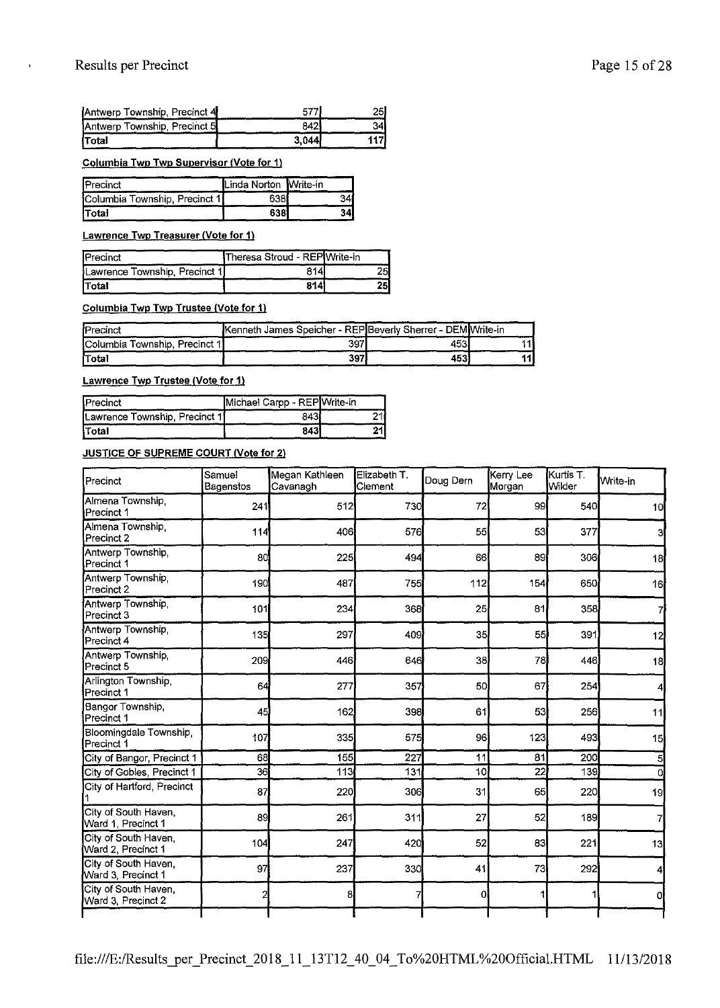| Antwerp Township, Precinct 4 | -577) | 251  |
|------------------------------|-------|------|
| Antwerp Township, Precinct 5 | 8421  | 34.  |
| <b>Total</b>                 | 3.044 | 117J |

**Columbia Twp Twp Supervisor (Vote for 1)** 

| <b>IPrecinct</b>              | Linda Norton Write-in |  |
|-------------------------------|-----------------------|--|
| Columbia Township, Precinct 1 |                       |  |
| <b>Total</b>                  |                       |  |

**Lawrence Twp Treasurer (Vote for 1)** 

| <b>IPrecinct</b>              | Theresa Stroud - REP Write-in |  |
|-------------------------------|-------------------------------|--|
| Lawrence Township, Precinct 1 |                               |  |
| <b>Total</b>                  | 814                           |  |

**Columbia Twp Twp Trustee (Vote for 1)** 

| Precinct                      | Kenneth James Speicher - REP Beverly Sherrer - DEM Write-in |      |    |
|-------------------------------|-------------------------------------------------------------|------|----|
| Columbia Township, Precinct 1 | 397                                                         | 4531 |    |
| <b>ITotal</b>                 | 397                                                         | 4531 | 11 |

**Lawrence Twp Trustee (Vote for 1)** 

| Precinct                       | Michael Carpp - REP Write-in |    |
|--------------------------------|------------------------------|----|
| Lawrence Township, Precinct 11 | 843                          |    |
| Total                          | 843                          | 21 |

**JUSTICE OF SUPREME COURT (Vote for 2)** 

| Precinct                                   | Samuel<br>Bagenstos | Megan Kathleen<br>Cavanagh | Elizabeth T.<br>Clement | Doug Dern       | Kerry Lee<br>Morgan | Kurtis T.<br>Wilder | Write-in        |
|--------------------------------------------|---------------------|----------------------------|-------------------------|-----------------|---------------------|---------------------|-----------------|
| Almena Township,<br>Precinct 1             | 241                 | 512                        | 730                     | 72              | 99                  | 540                 | 10 <sub>1</sub> |
| Almena Township,<br>Precinct 2             | 114                 | 406                        | 576                     | 55              | 53                  | 377                 | 3               |
| Antwerp Township,<br>Precinct 1            | 80                  | 225                        | 494                     | 66              | 89                  | 306                 | 18              |
| Antwerp Township,<br>Precinct 2            | 190                 | 487                        | 755                     | 112             | 154                 | 650                 | 16              |
| Antwerp Township,<br>Precinct 3            | 101                 | 234                        | 368                     | 25              | 81                  | 358                 | 7               |
| Antwerp Township,<br>Precinct 4            | 135                 | 297                        | 409                     | 35 <sub>1</sub> | 55                  | 391                 | 12              |
| Antwerp Township,<br>Precinct 5            | 209                 | 446                        | 646                     | 38              | 78                  | 446                 | 18              |
| Arlington Township,<br>Precinct 1          | 64                  | 277                        | 357                     | 50              | 67                  | 254                 | 4               |
| Bangor Township<br>Precinct 1              | 45                  | 162                        | 398                     | 61              | 53                  | 256                 | 11              |
| Bloomingdale Township,<br>Precinct 1       | 107                 | 335                        | 575                     | 96              | 123                 | 493                 | 15              |
| City of Bangor, Precinct 1                 | 68                  | 155                        | 227                     | 11              | 31                  | 200                 | 5               |
| City of Gobles, Precinct 1                 | 36                  | 113                        | 131                     | 10              | 22                  | 139                 | 0.              |
| City of Hartford, Precinct                 | 87                  | 220                        | 306                     | 31              | 65                  | 220                 | 19              |
| City of South Haven,<br>Ward 1, Precinct 1 | 89                  | 261                        | 311                     | 27              | 52                  | 189                 | 7               |
| City of South Haven.<br>Ward 2, Precinct 1 | 104                 | 247                        | 420                     | 52              | 83                  | 221                 | 13              |
| City of South Haven<br>Ward 3, Precinct 1  | 97                  | 237                        | 330                     | 41              | 73                  | 292                 | 4               |
| City of South Haven,<br>Ward 3, Precinct 2 |                     | 8                          |                         | $\Omega$        |                     | 1                   | O               |
|                                            |                     |                            |                         |                 |                     |                     |                 |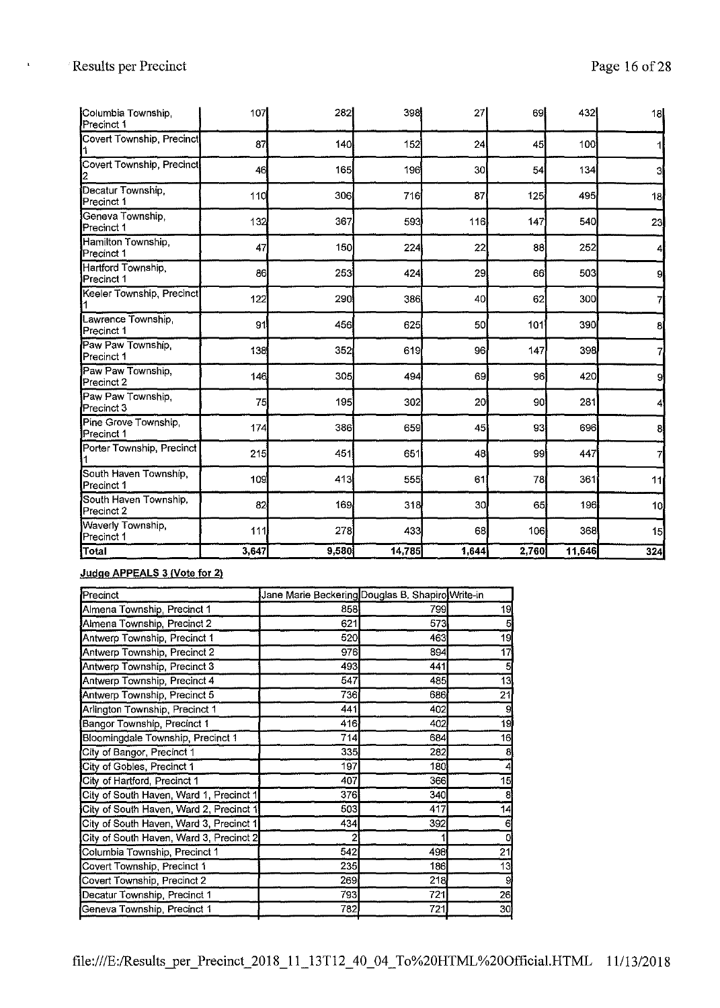| Columbia Township,<br>Precinct 1          | 107   | 282   | 398    | 27    | 69    | 432    | 18  |
|-------------------------------------------|-------|-------|--------|-------|-------|--------|-----|
| Covert Township, Precinct                 | 87    | 140   | 152    | 24    | 45    | 100    |     |
| Covert Township, Precinct                 | 46    | 165   | 196    | 30l   | 54    | 134    | 3   |
| Decatur Township.<br>Precinct 1           | 110   | 306   | 716    | 87    | 125   | 495    | 18  |
| Geneva Township,<br>Precinct 1            | 132   | 367   | 593    | 116   | 147   | 540    | 23  |
| Hamilton Township,<br><b>I</b> Precinct 1 | 47    | 150   | 224    | 22    | 88    | 252    | 4   |
| Hartford Township,<br>Precinct 1          | 86    | 253   | 424    | 29    | 66    | 503    | 9   |
| Keeler Township, Precinct                 | 122   | 290   | 386    | 40    | 62    | 300    | 7   |
| Lawrence Township<br>Precinct 1           | 91    | 456   | 625    | 50    | 101   | 390    | 8   |
| Paw Paw Township,<br>Precinct 1           | 138   | 352   | 619    | 96    | 147   | 398    | 7   |
| Paw Paw Township,<br>Precinct 2           | 146   | 305   | 494    | 69    | 96    | 420    | 9   |
| Paw Paw Township,<br>Precinct 3           | 75    | 195   | 302    | 20    | 90    | 281    | 4   |
| Pine Grove Township,<br>Precinct 1        | 174   | 386   | 659    | 45    | 93    | 696    | 8   |
| Porter Township, Precinct                 | 215   | 451   | 651    | 48    | 99    | 447    | 7   |
| South Haven Township,<br>Precinct 1       | 109   | 413   | 555    | 61    | 78    | 361    | 11  |
| South Haven Township,<br>Precinct 2       | 82    | 169   | 318    | 30    | 65    | 196    | 10  |
| Waverly Township,<br>Precinct 1           | 111   | 278   | 433    | 68    | 106   | 368    | 15  |
| Total                                     | 3,647 | 9,580 | 14,785 | 1,644 | 2,760 | 11,646 | 324 |

#### **Judge APPEALS 3 (Vote for 2)**

| Precinct                                | Jane Marie Beckering Douglas B. Shapiro Write-in |     |    |
|-----------------------------------------|--------------------------------------------------|-----|----|
| Almena Township, Precinct 1             | 858                                              | 799 | 19 |
| Almena Township, Precinct 2             | 621                                              | 573 |    |
| Antwerp Township, Precinct 1            | 520                                              | 463 | 19 |
| Antwerp Township, Precinct 2            | 976                                              | 894 | 17 |
| Antwerp Township, Precinct 3            | 493                                              | 441 | 5  |
| Antwerp Township, Precinct 4            | 547                                              | 485 | 13 |
| Antwerp Township, Precinct 5            | 736                                              | 636 | 21 |
| Arlington Township, Precinct 1          | 441                                              | 402 |    |
| Bangor Township, Precinct 1             | 416                                              | 402 | 19 |
| Bloomingdale Township, Precinct 1       | 714                                              | 634 | 16 |
| City of Bangor, Precinct 1              | 335                                              | 282 | 8  |
| City of Gobles, Precinct 1              | 197                                              | 180 |    |
| City of Hartford, Precinct 1            | 407                                              | 366 | 15 |
| City of South Haven, Ward 1, Precinct 1 | 376                                              | 340 | 8  |
| City of South Haven, Ward 2, Precinct 1 | 503                                              | 417 | 14 |
| City of South Haven, Ward 3, Precinct 1 | 434                                              | 302 | 6  |
| City of South Haven, Ward 3, Precinct 2 |                                                  |     | o  |
| Columbia Township, Precinct 1           | 542                                              | 498 | 21 |
| Covert Township, Precinct 1             | 235                                              | 136 | 13 |
| Covert Township, Precinct 2             | 269                                              | 218 | 9  |
| Decatur Township, Precinct 1            | 793                                              | 721 | 26 |
| Geneva Township, Precinct 1             | 782                                              | 721 | 30 |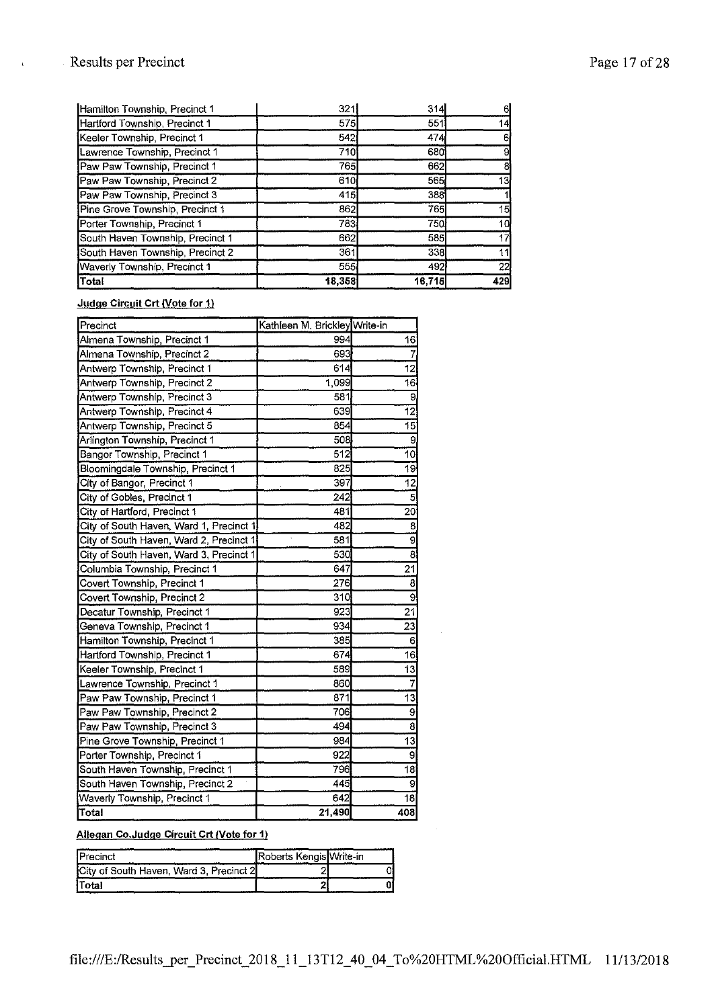## Results per Precinct Page 17 of 28

 $\bar{\mathbf{r}}$ 

| Hamilton Township, Precinct 1    | 321    | 314          |     |
|----------------------------------|--------|--------------|-----|
| Hartford Township, Precinct 1    | 575    | 551          | 14  |
| Keeler Township, Precinct 1      | 542    | 474          |     |
| Lawrence Township, Precinct 1    | 710    | 680 <b>l</b> |     |
| Paw Paw Township, Precinct 1     | 765    | 662          |     |
| Paw Paw Township, Precinct 2     | 610    | 565          | 13  |
| Paw Paw Township, Precinct 3     | 415    | 338          |     |
| Pine Grove Township, Precinct 1  | 862    | 765          | 15  |
| Porter Township, Precinct 1      | 783    | 750          | 10  |
| South Haven Township, Precinct 1 | 662    | 535          |     |
| South Haven Township, Precinct 2 | 361    | 338          |     |
| Waverly Township, Precinct 1     | 555    | 492          | 22  |
| Total                            | 18,358 | 16,715       | 429 |

#### **Judge Circuit Crt (Vote for 1)**

| Precinct                                | Kathleen M. Brickley Write-in |                 |
|-----------------------------------------|-------------------------------|-----------------|
| Almena Township, Precinct 1             | 994                           | 16              |
| Almena Township, Precinct 2             | 693                           |                 |
| Antwerp Township, Precinct 1            | 614                           | 12              |
| Antwerp Township, Precinct 2            | 1,099                         | $\overline{16}$ |
| Antwerp Township, Precinct 3            | 581                           | 9               |
| Antwerp Township, Precinct 4            | 639                           | 12              |
| Antwerp Township, Precinct 5            | 854                           | 15              |
| Arlington Township, Precinct 1          | 508                           | 9               |
| Bangor Township, Precinct 1             | 512                           | 10              |
| Bloomingdale Township, Precinct 1       | 825                           | 19              |
| City of Bangor, Precinct 1              | 397                           | 12              |
| City of Gobles, Precinct 1              | 242                           | 5               |
| City of Hartford, Precinct 1            | 481                           | 20              |
| City of South Haven, Ward 1, Precinct 1 | 482                           | 8               |
| City of South Haven, Ward 2, Precinct 1 | 581                           | $\overline{9}$  |
| City of South Haven, Ward 3, Precinct 1 | 530                           | 8               |
| Columbia Township, Precinct 1           | 647                           | 21              |
| Covert Township, Precinct 1             | 276                           | 8               |
| Covert Township, Precinct 2             | 310                           | 9               |
| Decatur Township, Precinct 1            | 923                           | 21              |
| Geneva Township, Precinct 1             | 934                           | 23              |
| Hamilton Township, Precinct 1           | 385                           | 6               |
| Hartford Township, Precinct 1           | 674                           | 16              |
| Keeler Township, Precinct 1             | 589                           | 13              |
| Lawrence Township, Precinct 1           | 860                           | 7               |
| Paw Paw Township, Precinct 1            | 871                           | 13              |
| Paw Paw Township, Precinct 2            | 706                           | 9               |
| Paw Paw Township, Precinct 3            | 494                           | 8               |
| Pine Grove Township, Precinct 1         | 984                           | 13              |
| Porter Township, Precinct 1             | 922                           | 9               |
| South Haven Township, Precinct 1        | 796                           | $\overline{18}$ |
| South Haven Township, Precinct 2        | 445                           | 9               |
| <b>Waverly Township, Precinct 1</b>     | 642                           | 18              |
| Total                                   | 21,490                        | 408             |

### **Allegan Co.Judge Circuit Crt (Vote for 1)**

| Precinct                                         | Roberts Kengis Write-in |  |
|--------------------------------------------------|-------------------------|--|
| <b>ICity of South Haven, Ward 3, Precinct 2I</b> |                         |  |
| <b>ITotal</b>                                    |                         |  |

 $\bar{z}$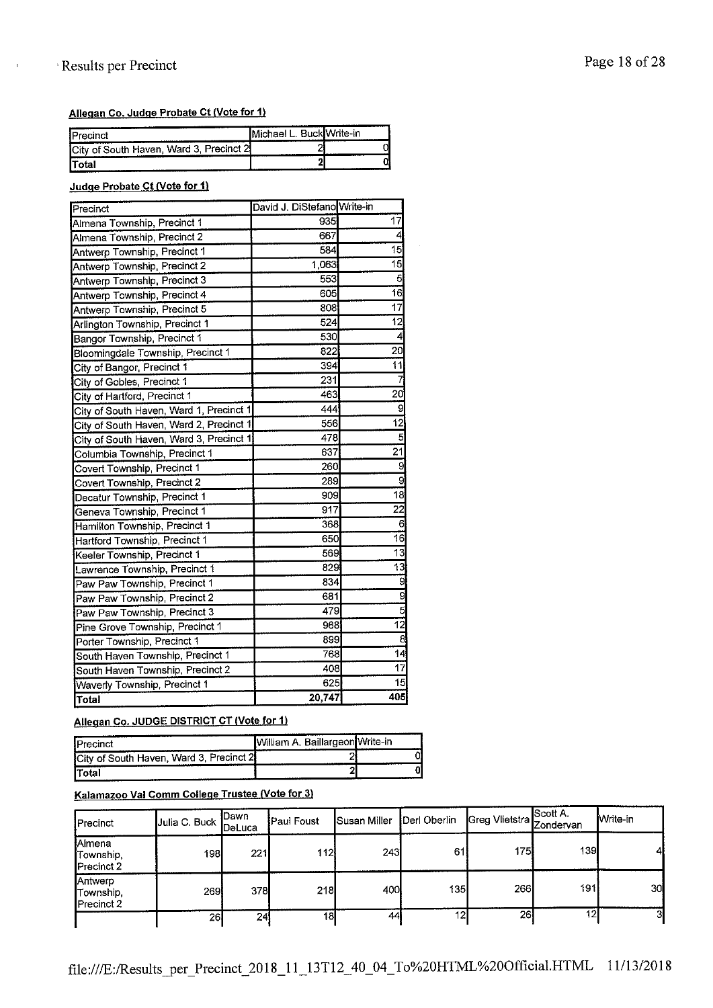## · Results per Precinct Page 18 of 28

#### **Allegan Co. Judge Probate Ct (Vote for 1)**

| -------<br><b>IPrecinct</b>             | IMichael L | BuckWrite-in |
|-----------------------------------------|------------|--------------|
| City of South Haven, Ward 3, Precinct 2 |            |              |
| <b>Total</b>                            |            |              |

#### **Judge Probate Ct (Vote for 1)**

| Precinct                                | David J. DiStefano Write-in |                 |
|-----------------------------------------|-----------------------------|-----------------|
| Almena Township, Precinct 1             | 935                         | 17              |
| Almena Township, Precinct 2             | 667                         | 4               |
| Antwerp Township, Precinct 1            | 584                         | $\overline{15}$ |
| Antwerp Township, Precinct 2            | 1.063                       | $\overline{15}$ |
| Antwerp Township, Precinct 3            | 553                         | 5               |
| Antwerp Township, Precinct 4            | 605                         | 16              |
| Antwerp Township, Precinct 5            | 808                         | $\overline{17}$ |
| Arlington Township, Precinct 1          | 524                         | $\overline{12}$ |
| Bangor Township, Precinct 1             | 530                         | 4               |
| Bloomingdale Township, Precinct 1       | 822                         | 20              |
| City of Bangor, Precinct 1              | 394                         | 11              |
| City of Gobles, Precinct 1              | 231                         | 7               |
| City of Hartford, Precinct 1            | 463                         | 20              |
| City of South Haven, Ward 1, Precinct 1 | 444                         | 9               |
| City of South Haven, Ward 2, Precinct 1 | 556                         | 12              |
| City of South Haven, Ward 3, Precinct 1 | 478                         | 5               |
| Columbia Township, Precinct 1           | 637                         | $\overline{21}$ |
| Covert Township, Precinct 1             | 260                         | 9               |
| Covert Township, Precinct 2             | 289                         | 9               |
| Decatur Township, Precinct 1            | 909                         | 18              |
| Geneva Township, Precinct 1             | 917                         | $\overline{22}$ |
| Hamilton Township, Precinct 1           | 368                         | 6               |
| Hartford Township, Precinct 1           | 650                         | 16              |
| Keeler Township, Precinct 1             | 569                         | 13              |
| Lawrence Township, Precinct 1           | 829                         | 13              |
| Paw Paw Township, Precinct 1            | 834                         | 9               |
| Paw Paw Township, Precinct 2            | 631                         | g               |
| Paw Paw Township, Precinct 3            | 479                         | 5               |
| Pine Grove Township, Precinct 1         | 968                         | $\overline{12}$ |
| Porter Township, Precinct 1             | 899                         | 8               |
| South Haven Township, Precinct 1        | 768                         | 14              |
| South Haven Township, Precinct 2        | 408                         | $\overline{17}$ |
| Waverly Township, Precinct 1            | 625                         | 15              |
| Total                                   | 20,747                      | 405             |

#### Allegan Co. JUDGE DISTRICT CT (Vote for 1)

| <b>IPrecinct</b>                        | William A. Baillargeon Write-in<br> |  |
|-----------------------------------------|-------------------------------------|--|
| City of South Haven, Ward 3, Precinct 2 |                                     |  |
| <b>ITotal</b>                           | .                                   |  |

## **Kalamazoo Val Comm College Trustee (Vote for 3)**

| Precinct                                  | Julia C. Buck | <b>I</b> Dawn<br><b>I</b> DeLuca | <b>Paul Foust</b> | <b>Susan Miller</b> | Derl Oberlin     | Greg Vlietstra Zondervan | <b>Scott A.</b> | <b>I</b> Write-in |
|-------------------------------------------|---------------|----------------------------------|-------------------|---------------------|------------------|--------------------------|-----------------|-------------------|
| Almena<br>Township,<br><b>IPrecinct 2</b> | 1981          | 221                              | 112               | 243                 | 61               | 175                      | 139             | 41                |
| Antwerp<br>Township.<br>Precinct 2        | <b>2691</b>   | 378I                             | 218               | 400                 | 135 <sub>l</sub> | 266                      | 191             | 30                |
|                                           | 26            | 24                               | 18                | 44                  | 12,              | 26                       | 12              | -31               |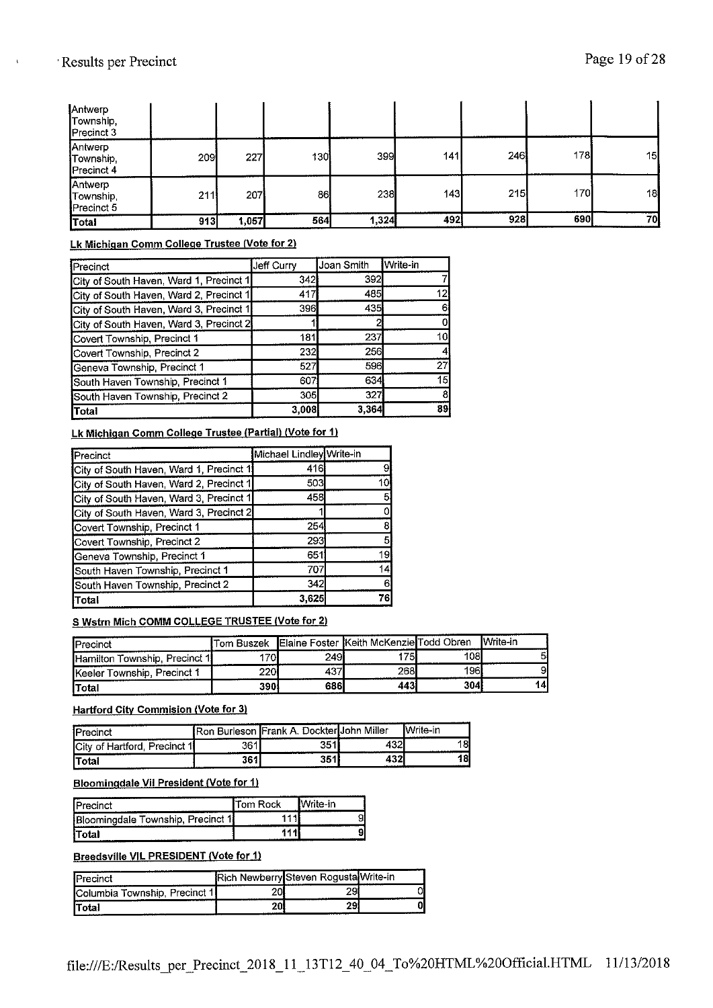## ' Results per Precinct Page 19 of 28

| Total                              | 913 | 1,057 | 564 | 1,324 | 492 | 928 | 690 | 70I |
|------------------------------------|-----|-------|-----|-------|-----|-----|-----|-----|
| Antwerp<br>Township,<br>Precinct 5 | 211 | 207   | 86  | 238   | 143 | 215 | 170 | 18  |
| Antwerp<br>Township,<br>Precinct 4 | 209 | 227   | 130 | 399   | 141 | 246 | 178 | 15  |
| Antwerp<br>Township,<br>Precinct 3 |     |       |     |       |     |     |     |     |

#### **Lk Michigan Comm College Trustee (Vote for 2)**

| Precinct                                | <b>Jeff Curry</b> | Joan Smith | <b>I</b> Write-in |
|-----------------------------------------|-------------------|------------|-------------------|
| City of South Haven, Ward 1, Precinct 1 | 342               | 392        |                   |
| City of South Haven, Ward 2, Precinct 1 | 417               | 485        | 12                |
| City of South Haven, Ward 3, Precinct 1 | 396               | 435        |                   |
| City of South Haven, Ward 3, Precinct 2 |                   |            |                   |
| Covert Township, Precinct 1             | 181               | 237        | 10                |
| Covert Township, Precinct 2             | 232               | 256        |                   |
| Geneva Township, Precinct 1             | 527               | 596        | 27                |
| South Haven Township, Precinct 1        | 607               | 634        | 15                |
| South Haven Township, Precinct 2        | 305               | 327        |                   |
| Total                                   | 3,008             | 3,364      | 89                |

#### **Lk Michigan Comm College Trustee (Partial) (Vote for 1)**

| Precinct                                | Michael Lindley Write-in |    |
|-----------------------------------------|--------------------------|----|
| City of South Haven, Ward 1, Precinct 1 | 416                      |    |
| City of South Haven, Ward 2, Precinct 1 | 503                      | 10 |
| City of South Haven, Ward 3, Precinct 1 | 458                      |    |
| City of South Haven, Ward 3, Precinct 2 |                          |    |
| Covert Township, Precinct 1             | 254                      |    |
| Covert Township, Precinct 2             | 293                      |    |
| Geneva Township, Precinct 1             | 651                      | 19 |
| South Haven Township, Precinct 1        | 707                      | 14 |
| South Haven Township, Precinct 2        | 342                      | 6  |
| <b>Total</b>                            | 3.625                    | 76 |

#### S Wstrn Mich COMM COLLEGE TRUSTEE (Vote for 2)

| <b>I</b> Precinct             | lTom Buszek |      | Elaine Foster Keith McKenzie Todd Obren |     | <b>I</b> Write-in |
|-------------------------------|-------------|------|-----------------------------------------|-----|-------------------|
| Hamilton Township, Precinct 1 | <b>701</b>  | 249I | 175                                     | 108 |                   |
| Keeler Township, Precinct 1   | 220i        | 437  | 268                                     | 196 |                   |
| <b>Total</b>                  | <b>390</b>  | 686  | 443                                     | 304 | 14                |

### **Hartford City Commision (Vote for 3)**

| <b>I</b> Precinct                     |     | <b>IRon Burleson Frank A. Dockter John Miller</b> |          | lWrite-in |
|---------------------------------------|-----|---------------------------------------------------|----------|-----------|
| <b>City of Hartford</b><br>Precinct 1 | 361 | つこイ                                               | 132<br>м |           |
| lTotal                                | 361 | 9 E A                                             | 432      |           |

#### **Bloomingdale Vil President (Vote for 1)**

| <b>IPrecinct</b>                  | Tom Rock | Write-in |
|-----------------------------------|----------|----------|
| Bloomingdale Township, Precinct 1 |          |          |
| iTotal                            |          |          |

#### **Breedsville VIL PRESIDENT (Vote for 1)**

| <b>IPrecinct</b>                       |    | Rich Newberry Steven Rogusta Write-in |  |
|----------------------------------------|----|---------------------------------------|--|
| <b>IColumbia Township, Precinct 11</b> | oo | 29                                    |  |
| lTotal                                 | ΔU | 29!<br>                               |  |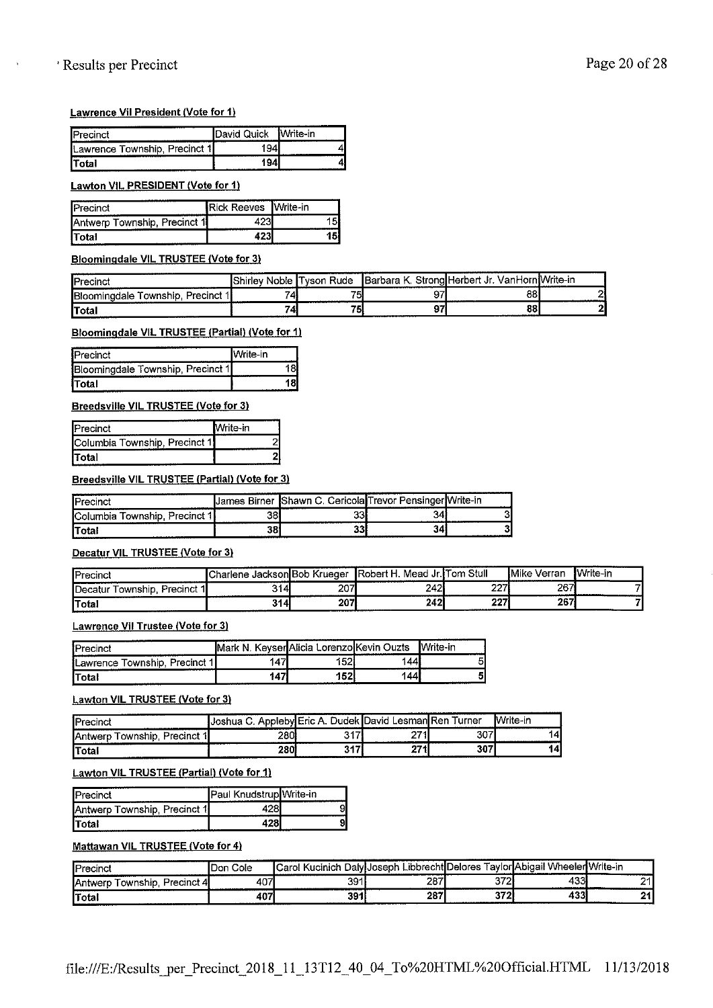## ' Results per Precinct Page 20 of 28

ł.

#### **Lawrence Vil President (Vote for 1)**

| ---------<br><b>IPrecinct</b> | ------------------------<br><b>IDavid Quick</b> | lWrite-in |
|-------------------------------|-------------------------------------------------|-----------|
| Lawrence Township, Precinct 1 |                                                 |           |
| ITotal                        | <b>A A A A AN AN A A A A A MAIN MAIN A A A</b>  |           |

#### **Lawton VIL PRESIDENT (Vote for 1)**

| <b>IPrecinct</b>                    | <b>Rick Reeves Write-in</b> |  |
|-------------------------------------|-----------------------------|--|
| <b>Antwerp Township, Precinct 1</b> |                             |  |
| <b>Total</b>                        |                             |  |

#### **Bloomingdale VIL TRUSTEE (Vote for 3)**

| <b>I</b> Precinct                         |        |            | Shirley Noble Tyson Rude   Barbara K. Strong Herbert Jr. Van Horn Write-in |  |
|-------------------------------------------|--------|------------|----------------------------------------------------------------------------|--|
| <b>IBloominadale Township, Precinct 1</b> | -<br>Δ | سر وت<br>ъ | 88                                                                         |  |
| <b>ITotal</b>                             | 74     | ю          | 88                                                                         |  |

#### **Bloomingdale VIL TRUSTEE (Partial) (Vote for 1)**

| <b>IPrecinct</b>                  | IWrite-in |
|-----------------------------------|-----------|
| Bloomingdale Township, Precinct 1 |           |
| iTotal                            |           |

#### Breedsville VIL TRUSTEE (Vote for 3)

| <b>IPrecinct</b>              | Mrite-in |
|-------------------------------|----------|
| Columbia Township, Precinct 1 |          |
| İTotal                        |          |

#### Breedsville VIL TRUSTEE (Partial) (Vote for 3)

|                                                | "James Birner | Shawn C. Cericola Trevor Pensinger Write-in | -------------------------     |                                                  |
|------------------------------------------------|---------------|---------------------------------------------|-------------------------------|--------------------------------------------------|
| -------------<br>m.<br>Jrocinei<br><b>COMP</b> | 38.           | აა                                          | 34.<br>. 1                    |                                                  |
| 'Total                                         | 38            | -99.<br>აა<br>.                             | -341<br>- ------------------- | <b>ALL ALL CARDS-REPORTS</b><br>---------------- |

#### **Decatur VIL TRUSTEE (Vote for 3)**

| <b>IPrecinct</b>                               | lCharlene Jackson <b>I</b> Bob Krueger |     | IRobert H<br>Mead . | l Jr. Tom Stull | <b>I</b> Mike<br>Verran | Write-in |
|------------------------------------------------|----------------------------------------|-----|---------------------|-----------------|-------------------------|----------|
| <b>I</b> Decatur<br>`ownship,<br>. Precinct 1l | 3141                                   | 207 | 242                 | 2271            | 267                     |          |
| lTotal                                         | 314                                    | 207 | 242                 | 227             | 267                     |          |

#### **Lawrence Vil Trustee (Vote for 3)**

| <b>IPrecinct</b>                      | N          | . KevserlAlicia LorenzolKevin Ouzts |         | Write-in<br>--- |
|---------------------------------------|------------|-------------------------------------|---------|-----------------|
| <b>ILawrence Township, Precinct 1</b> | $5 -$<br>Δ | 52.<br>ັ                            | 44<br>. | 51              |
| 'Total<br>----------------            | 47         | 52                                  | 44      |                 |

#### **Lawton VIL TRUSTEE (Vote for 3)**

| <br>1 m<br>recinci                      | 112<br>IJosn | ) udek ll<br>Eric<br>А | _esmanl<br>hivet  | ıRer<br>urner<br>------------------------------- | Write-in     |
|-----------------------------------------|--------------|------------------------|-------------------|--------------------------------------------------|--------------|
| 4<br>ownship<br>Precinci<br>----------- | 230          | $0.4 - 7$<br>J         | $\sim -1$<br>-    | $\sim$<br>نات                                    | л<br>-       |
| lTotal                                  | 280          | ウイブ                    | <b>974</b><br>. . | 307<br>---------                                 | 14<br>------ |

#### **Lawton VIL TRUSTEE (Partial) (Vote for 1)**

| <b>IPrecinct</b>             | Paul Knudstrup Write-in |  |
|------------------------------|-------------------------|--|
| Antwerp Township, Precinct 1 |                         |  |
| lTotal                       |                         |  |

### **Mattawan VIL TRUSTEE (Vote for 4)**

| <b>IPrecinct</b>                           | IDon Cole | Carol Kucinich DalvIJoseph! |     |           | Libbrecht ${\sf ID}$ elores Tavlor ${\sf I}$ Abiɑail Wheeler ${\sf I}$ Write-in |     |
|--------------------------------------------|-----------|-----------------------------|-----|-----------|---------------------------------------------------------------------------------|-----|
| Township.<br>Precinct 4<br><b>IAntwerp</b> | 407       | 391                         | 287 | 372       | 433                                                                             | אר  |
| lTotal                                     | 407       | 391<br>                     | 287 | タブクト<br>- | 433                                                                             | . . |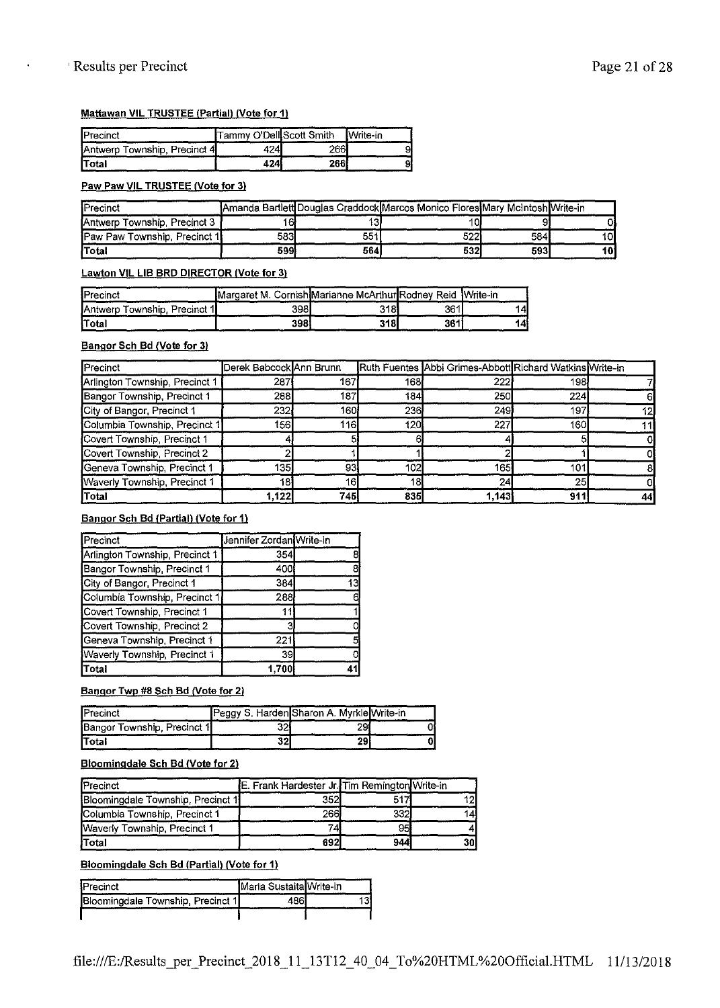#### **Mattawan VIL TRUSTEE (Partial) (Vote for 11**

| <b>IPrecinct</b>             | Tammy O'Dell Scott Smith |      | <b>Write-in</b> |
|------------------------------|--------------------------|------|-----------------|
| Antwerp Township, Precinct 4 | 424                      | 2661 |                 |
| <b>Total</b>                 | 424                      | 2661 |                 |

#### **Paw Paw VIL TRUSTEE (Vote for 3)**

| <b>IPrecinct</b>                       |      |     | IAmanda BartlettIDouglas CraddockIMarcos Monico FloresIMary McIntoshIWrite-in. |     |    |
|----------------------------------------|------|-----|--------------------------------------------------------------------------------|-----|----|
| <b>IAntwerp Township, Precinct 3 1</b> | 16   |     | 10l                                                                            |     |    |
| <b>Paw Paw Township, Precinct 1</b>    | 583I | 551 | 5221                                                                           | 584 | 10 |
| lTotal                                 | 599. | 564 | 532I                                                                           | 593 | 10 |

#### **Lawton VIL LIB BRO DIRECTOR (Vote for 3)**

| <b>IPrecinct</b>             | Margaret M. Cornish Marianne McArthur Rodney Reid Write-in |     |     |     |
|------------------------------|------------------------------------------------------------|-----|-----|-----|
| Antwerp Township, Precinct 1 | 398l                                                       | 318 | 361 | 14I |
| <b>Total</b>                 | 398                                                        | 318 | 361 | 14! |

#### **Bangor Sch Bd (Vote for 3)**

| Precinct                       | Derek Babcock Ann Brunn |                 |     | Ruth Fuentes Abbi Grimes-Abbott Richard Watkins Write-in |     |    |
|--------------------------------|-------------------------|-----------------|-----|----------------------------------------------------------|-----|----|
| Arlington Township, Precinct 1 | 287                     | 167             | 168 | 222                                                      | 198 |    |
| Bangor Township, Precinct 1    | 288                     | 187             | 184 | 250                                                      | 224 |    |
| City of Bangor, Precinct 1     | 232                     | 160             | 236 | 249                                                      | 197 | 12 |
| Columbia Township, Precinct 1  | 156                     | 116             | 120 | 227                                                      | 160 |    |
| Covert Township, Precinct 1    |                         |                 |     |                                                          |     |    |
| Covert Township, Precinct 2    |                         |                 |     |                                                          |     |    |
| Geneva Township, Precinct 1    | 135                     | 93              | 102 | 165                                                      | 101 |    |
| Waverly Township, Precinct 1   | 181                     | 16 <sub>l</sub> | 18  | 24 <sub>1</sub>                                          | 25  |    |
| Total                          | 1 122                   | 745             | 835 | 1,143                                                    | 911 | 44 |

#### **Bangor Sch Bd (Partial) (Vote for 1)**

| Precinct                       | Jennifer Zordan Write-in |  |
|--------------------------------|--------------------------|--|
| Arlington Township, Precinct 1 | 354                      |  |
| Bangor Township, Precinct 1    | 400                      |  |
| City of Bangor, Precinct 1     | 384                      |  |
| Columbia Township, Precinct 1  | 288                      |  |
| Covert Township, Precinct 1    |                          |  |
| Covert Township, Precinct 2    |                          |  |
| Geneva Township, Precinct 1    | 221                      |  |
| Waverly Township, Precinct 1   | 39                       |  |
| Total                          | 1.700                    |  |

#### **Bangor Twp #8 Sch Bd (Vote for 2l**

| <b>I</b> Precinct           |    | Peggy S. Harden Sharon A. Myrkle Write-in |  |
|-----------------------------|----|-------------------------------------------|--|
| Bangor Township, Precinct 1 |    |                                           |  |
| <b>Total</b>                | 32 |                                           |  |

#### **Bloomingdale Sch Bd (Vote for 21**

| <b>IPrecinct</b>                  | E. Frank Hardester Jr. Tim Remington Write-in |     |    |
|-----------------------------------|-----------------------------------------------|-----|----|
| Bloomingdale Township, Precinct 1 | 3521                                          | 517 | 12 |
| Columbia Township, Precinct 1     | 266I                                          | 332 | 14 |
| Waverly Township, Precinct 1      | 74)                                           | 95  |    |
| <b>Total</b>                      | 692I                                          | 944 | 30 |

#### **Bloomingdale Sch Bd (Partial) (Vote for 11**

| <b>IPrecinct</b>                  | Maria Sustaita Write-in |  |
|-----------------------------------|-------------------------|--|
| Bloomingdale Township, Precinct 1 |                         |  |
|                                   |                         |  |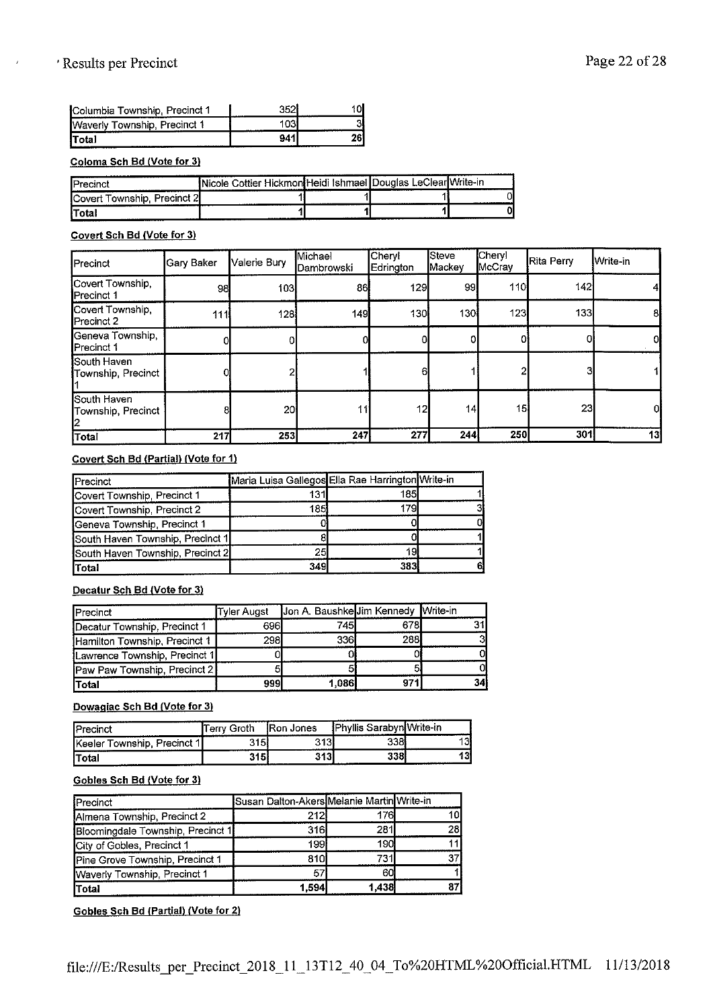## ' Results per Precinct Page 22 of 28

 $\epsilon$ 

| <b>I</b> Columbia Township, Precinct 1 | າເຈໂ |  |
|----------------------------------------|------|--|
| Waverly Township, Precinct 1           | 1031 |  |
| lTotal                                 | 941  |  |

#### **Coloma Sch Bd (Vote for 3)**

| IPrecinct                             | Nicole Cottier Hickmon Heidi Ishmael Douglas LeClear Write-in |  |  |
|---------------------------------------|---------------------------------------------------------------|--|--|
| <b>I</b> Covert Township. Precinct 2I |                                                               |  |  |
| lTotal                                |                                                               |  |  |

#### **Covert Sch Bd (Vote for 31**

| <b>I</b> Precinct                        | Gary Baker | Valerie Bury    | Michael<br><b>I</b> Dambrowski | <b>Cheryl</b><br>Edrington | Steve<br>Mackey | Cheryl<br><b>IMcCray</b> | <b>Rita Perry</b> | <b>I</b> Write-in |
|------------------------------------------|------------|-----------------|--------------------------------|----------------------------|-----------------|--------------------------|-------------------|-------------------|
| Covert Township,<br><b>I</b> Precinct 1  | 98         | 103             | 86                             | 129                        | 99              | 110                      | 142               |                   |
| Covert Township,<br>Precinct 2           | 111        | 128             | 149                            | 130                        | 130             | 123                      | 133               | 81                |
| Geneva Township,<br>Precinct 1           |            |                 |                                |                            |                 |                          |                   | 0I                |
| South Haven<br>Township, Precinct        |            |                 |                                | 6                          |                 |                          |                   |                   |
| <b>South Haven</b><br>Township, Precinct |            | 20 <sup>1</sup> |                                | 12                         | 44              | 15 <sup>1</sup>          | 23 <sub>l</sub>   | oı                |
| Total                                    | 217        | 253             | 247                            | 277                        | 244             | 250                      | 301               | 131               |

#### **Covert Sch Bd (Partial) (Vote for 11**

| Precinct                         | Maria Luisa Gallegos Ella Rae Harrington Write-in |      |  |
|----------------------------------|---------------------------------------------------|------|--|
| Covert Township, Precinct 1      | 131                                               | 185  |  |
| Covert Township, Precinct 2      | 185                                               | 1791 |  |
| Geneva Township, Precinct 1      |                                                   |      |  |
| South Haven Township, Precinct 1 |                                                   |      |  |
| South Haven Township, Precinct 2 | 25                                                | 19   |  |
| Total                            | 349                                               | 383  |  |

#### **Decatur Sch Bd (Vote for 3)**

| <b>I</b> Precinct             | Tyler Augst | Jon A. Baushke Jim Kennedy Write-in |      |     |
|-------------------------------|-------------|-------------------------------------|------|-----|
| Decatur Township, Precinct 1  | 696I        | 745I                                | 678I | ٦1. |
| Hamilton Township, Precinct 1 | 298I        | 336I                                | 288I | зі  |
| Lawrence Township, Precinct 1 |             |                                     |      | ΩI  |
| Paw Paw Township, Precinct 2  |             |                                     | 5    |     |
| lTotal                        | 999l        | 1,086                               | 971  | 34ì |

#### **Dowagiac Sch Bd (Vote for 3)**

| Precinct                    | Γerrv Groth | <b>Ron Jones</b> | <b>IPhyllis Sarabyn Write-in</b> |                 |
|-----------------------------|-------------|------------------|----------------------------------|-----------------|
| Keeler Township, Precinct 1 | 315)        | 313I             | 3381                             | 31<br>--------- |
| lTotal                      | 315         | 3131             | 3381                             | 131             |

#### **Gobles Sch Bd (Vote for 3)**

| Precinct                          | Susan Dalton-Akers Melanie Martin Write-in |       |     |
|-----------------------------------|--------------------------------------------|-------|-----|
| Almena Township, Precinct 2       | 212                                        | 176   | 101 |
| Bloomingdale Township, Precinct 1 | 316                                        | 281   | 28  |
| City of Gobles, Precinct 1        | 199                                        | 190   |     |
| Pine Grove Township, Precinct 1   | 810                                        | 731   |     |
| Waverly Township, Precinct 1      |                                            | 60    |     |
| Total                             | 1.594                                      | 1.438 |     |

**Gobles Sch Bd (Partial) (Vote for 2)**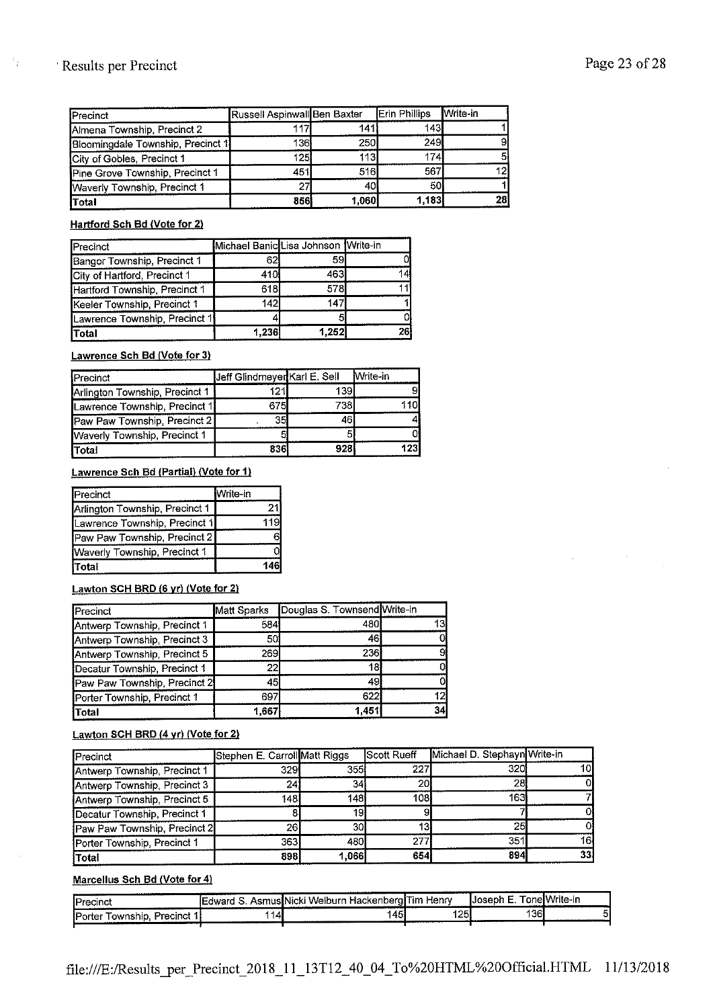## ' Results per Precinct Page 23 of 28

 $\frac{1}{2}$ 

| <b>I</b> Precinct                 | Russell Aspinwall Ben Baxter |            | <b>Erin Phillips</b> | <b>I</b> Write-in |
|-----------------------------------|------------------------------|------------|----------------------|-------------------|
| Almena Township, Precinct 2       |                              | 141        | 1431                 |                   |
| Bloomingdale Township, Precinct 1 | 136!                         | <b>250</b> | <b>249</b>           | 91                |
| City of Gobles, Precinct 1        | 125I                         | 113        | 1741                 | 51                |
| Pine Grove Township, Precinct 1   | 451                          | 516        | 567                  | 121               |
| Waverly Township, Precinct 1      | 27                           | 40         | 50                   |                   |
| Total                             | 856                          | 1,060      | 1,183                | 28                |

**Hartford Sch Bd (Vote for 2)** 

| Precinct                      | Michael Banic Lisa Johnson Write-in |       |    |
|-------------------------------|-------------------------------------|-------|----|
| Bangor Township, Precinct 1   | 62                                  | 59    |    |
| City of Hartford, Precinct 1  | 410                                 | 463   |    |
| Hartford Township, Precinct 1 | 618                                 | 578   |    |
| Keeler Township, Precinct 1   | 142I                                | 147   |    |
| Lawrence Township, Precinct 1 |                                     |       |    |
| lTotal                        | 1,236                               | 1,252 | 26 |

#### **Lawrence Sch Bd (Vote for 3)**

| Precinct                       | Jeff Glindmeyer Karl E. Sell |      | <b>Write-in</b> |
|--------------------------------|------------------------------|------|-----------------|
| Arlington Township, Precinct 1 | 121                          | 139  |                 |
| Lawrence Township, Precinct 1  | 675I                         | 738I | 110I            |
| Paw Paw Township, Precinct 21  | 35                           | 46   |                 |
| Waverly Township, Precinct 1   |                              |      |                 |
| Total                          | 8361                         | 928  | 1231            |

#### Lawrence Sch Bd (Partial) (Vote for 1)

| Precinct                       | Write-in |
|--------------------------------|----------|
| Arlington Township, Precinct 1 |          |
| Lawrence Township, Precinct 1  | 119      |
| Paw Paw Township, Precinct 2   | 6        |
| Waverly Township, Precinct 1   |          |
| <b>Total</b>                   | 146      |

#### **Lawton SCH BRD (6 yr) (Vote for 2)**

| Precinct                     |             | Matt Sparks Douglas S. Townsend Write-in |    |
|------------------------------|-------------|------------------------------------------|----|
| Antwerp Township, Precinct 1 | 584         | 480                                      |    |
| Antwerp Township, Precinct 3 | 50          | 46                                       |    |
| Antwerp Township, Precinct 5 | <b>2691</b> | 236                                      |    |
| Decatur Township, Precinct 1 | 22          | 18                                       |    |
| Paw Paw Township, Precinct 2 | 45          | 49                                       |    |
| Porter Township, Precinct 1  | 697         | 622                                      |    |
| Total                        | 1,667       | 1451                                     | 34 |

### **Lawton SCH BRD (4 yr) (Vote for 2)**

| Precinct                     | Stephen E. Carroll Matt Riggs |       | <b>Scott Rueff</b> | Michael D. Stephayn Write-in |     |
|------------------------------|-------------------------------|-------|--------------------|------------------------------|-----|
| Antwerp Township, Precinct 1 | 3291                          | 355 l | 227I               | 320                          | 10I |
| Antwerp Township, Precinct 3 | 24]                           | 34    | 20                 | 28                           |     |
| Antwerp Township, Precinct 5 | 148.                          | 148   | 108 <b>I</b>       | 1631                         |     |
| Decatur Township, Precinct 1 |                               | 19    | 91                 |                              |     |
| Paw Paw Township, Precinct 2 | 26                            | 30    | 131                | 25                           |     |
| Porter Township, Precinct 1  | 363                           | 480   | 277 <b>1</b>       | 351                          | 161 |
| <b>Total</b>                 | 898                           | 1.066 | 654                | 894                          | 331 |

#### **Marcellus Sch Bd (Vote for 4)**

| <b>I</b> Precinct                         | A design will see a concern on the a<br>IFdward S. | ---------------<br>· HackenberglTim Henrv_<br>AsmusINicki Welburn r. |     | --------------------<br>⊣Joseph E | TonelWrite-in |
|-------------------------------------------|----------------------------------------------------|----------------------------------------------------------------------|-----|-----------------------------------|---------------|
| Precinct 1<br><b>IPorter</b><br>"ownship. | 14                                                 | 145<br>                                                              | 125 | 1361                              | ы             |
|                                           |                                                    |                                                                      |     |                                   |               |

 $\sim$   $\sim$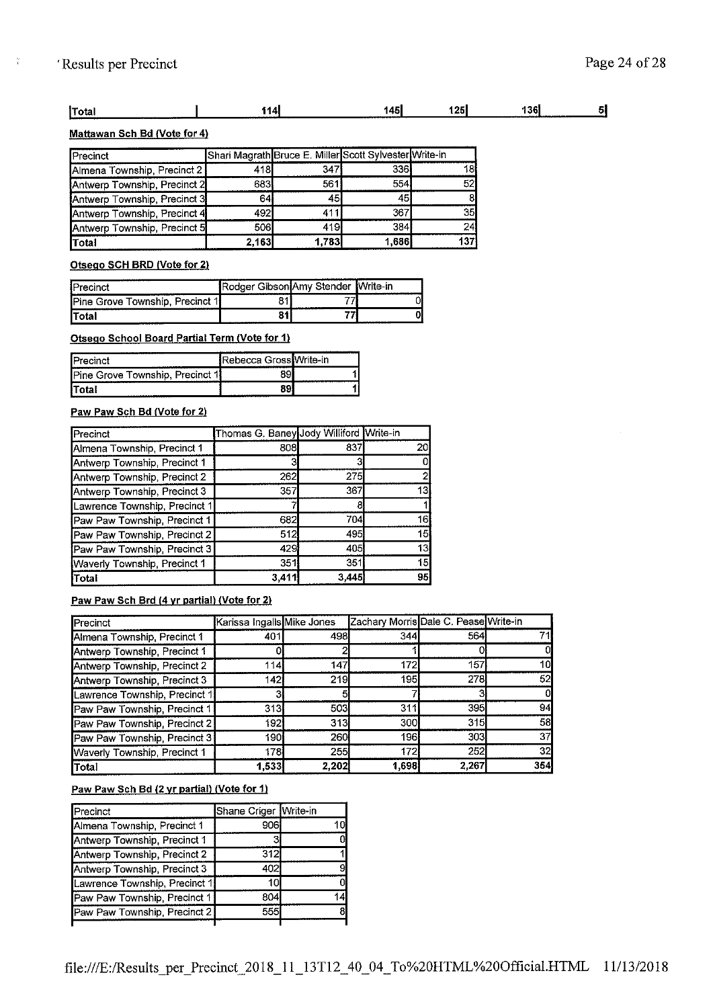$\frac{1}{4}$ 

#### $\overline{\mathbf{5}}$ **jTotal 1141 14s1 12s1 13a1**

#### **Mattawan Sch Bd (Vote for 4)**

| Precinct                     |       |              | Shari Magrath Bruce E. Miller Scott Sylvester Write-in |           |
|------------------------------|-------|--------------|--------------------------------------------------------|-----------|
| Almena Township Precinct 2   | 418   | 347          | 336I                                                   | 181       |
| Antwerp Township, Precinct 2 | 683   | 561          | 554                                                    | 521       |
| Antwerp Township, Precinct 3 | 64    | 45           | 45                                                     | 81        |
| Antwerp Township, Precinct 4 | 492   | 411          | 367                                                    | <b>35</b> |
| Antwerp Township, Precinct 5 | 506I  | 419 <b>I</b> | 384                                                    | 24        |
| Total                        | 2,163 | 1,783        | 1,686                                                  | 137       |

#### **Otsego SCH BRD (Vote for 2)**

| <b>IPrecinct</b>                                                | Rodger GibsontAmy Stender Write-in |                |
|-----------------------------------------------------------------|------------------------------------|----------------|
| <b>Pine Grove Township, Precinct 1</b><br>--------------------- |                                    |                |
| lTotal<br><b>CARS &amp; CHAPTERS &amp; A CHECKER</b>            |                                    | -------------- |

#### Otsego School Board Partial Term (Vote for 1)

| <b>IPrecinct</b>                         | <b>IRebecca Gross Write-in</b> |   |
|------------------------------------------|--------------------------------|---|
| <b>IPine Grove Township, Precinct 11</b> |                                |   |
| <b>ITotal</b>                            | .                              | . |

#### **Paw Paw Sch Bd (Vote for 2)**

| <b>I</b> Precinct             | Thomas G. Baney Jody Williford Write-in |       |                 |
|-------------------------------|-----------------------------------------|-------|-----------------|
| Almena Township, Precinct 1   | 808                                     | 83.   | 20              |
| Antwerp Township, Precinct 1  | 3                                       |       |                 |
| Antwerp Township, Precinct 2  | 262                                     | 275   |                 |
| Antwerp Township, Precinct 3  | 357                                     | 367   | 13              |
| Lawrence Township, Precinct 1 |                                         |       |                 |
| Paw Paw Township, Precinct 1  | 682                                     | 704   | 16              |
| Paw Paw Township, Precinct 2  | 512                                     | 495   | 15              |
| Paw Paw Township, Precinct 3  | 429                                     | 405   | 13 <sup>1</sup> |
| Waverly Township, Precinct 1  | 351                                     | 351   | 15              |
| <b>Total</b>                  | 3,411                                   | 3,445 | 95              |

#### Paw Paw Sch Brd (4 yr partial) (Vote for 2)

| Precinct                      | Karissa Ingalis Mike Jones |       | Zachary Morris Dale C. Pease Write-in |            |     |
|-------------------------------|----------------------------|-------|---------------------------------------|------------|-----|
| Almena Township, Precinct 1   | 401                        | 498   | 344                                   | 564        |     |
| Antwerp Township, Precinct 1  |                            |       |                                       |            |     |
| Antwerp Township, Precinct 2  | 114                        | 147   | 172                                   | 157        | 101 |
| Antwerp Township, Precinct 3  | 142                        | 219   | 195                                   | <b>278</b> | 52  |
| Lawrence Township, Precinct 1 | 31                         | 51    |                                       |            |     |
| Paw Paw Township, Precinct 1  | 313                        | 503   | 311                                   | 395I       | 94  |
| Paw Paw Township, Precinct 2  | 1921                       | 313   | 300                                   | 315        | 58  |
| Paw Paw Township, Precinct 3  | 190                        | 260   | 196I                                  | 303        | 37  |
| Waverly Township, Precinct 1  | 1781                       | 255   | 172                                   | 252        | 32  |
| Total                         | 1.5331                     | 2.202 | 1,698                                 | 2,267      | 354 |

#### **Paw Paw Sch Bd (2 yr partial) (Vote for 1)**

| Precinct                      | Shane Criger Write-in |  |
|-------------------------------|-----------------------|--|
| Almena Township, Precinct 1   | 906                   |  |
| Antwerp Township, Precinct 1  |                       |  |
| Antwerp Township, Precinct 2  | 312                   |  |
| Antwerp Township, Precinct 3  | 402                   |  |
| Lawrence Township, Precinct 1 | 10                    |  |
| Paw Paw Township, Precinct 1  | 804                   |  |
| Paw Paw Township, Precinct 2  | 555                   |  |
|                               |                       |  |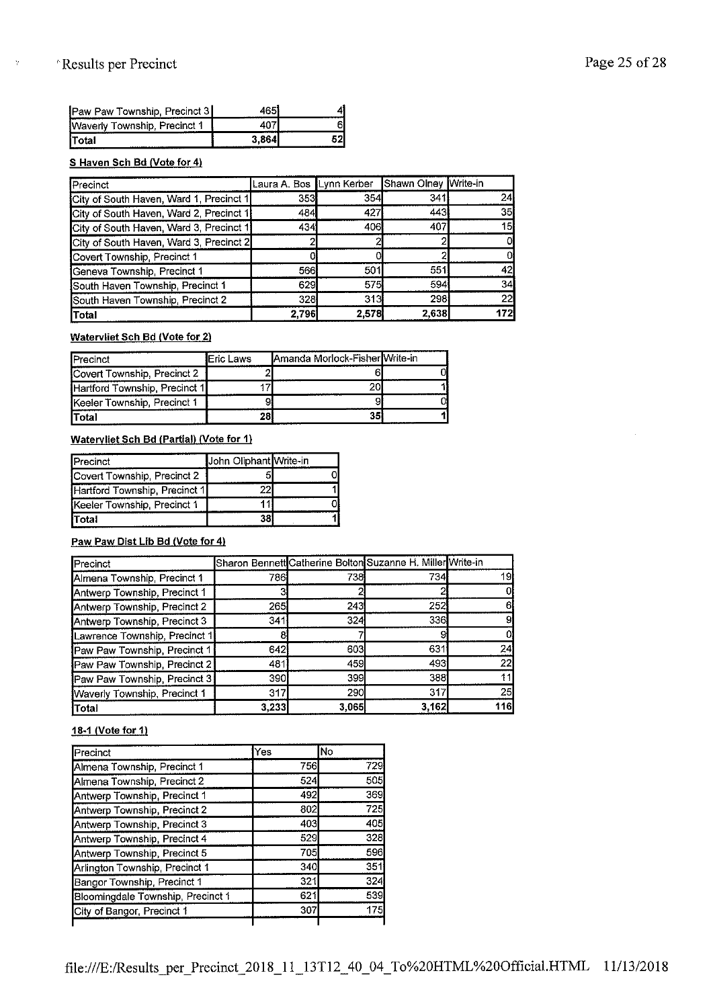$\gamma$ 

| Paw Paw Township, Precinct 3 | 465)  |  |
|------------------------------|-------|--|
| Waverly Township, Precinct 1 | ־מו.  |  |
| Total                        | 3.864 |  |

#### **S Haven Sch Bd (Vote for 4}**

| Precinct                                | Laura A. Bos Lynn Kerber |       | Shawn Olney Write-in |     |
|-----------------------------------------|--------------------------|-------|----------------------|-----|
| City of South Haven, Ward 1, Precinct 1 | 353                      | 354   | 341                  | 24  |
| City of South Haven, Ward 2, Precinct 1 | 484                      | 427   | 443                  | 35  |
| City of South Haven, Ward 3, Precinct 1 | 434                      | 406   | 407                  | 15  |
| City of South Haven, Ward 3, Precinct 2 |                          |       |                      |     |
| Covert Township, Precinct 1             |                          |       |                      |     |
| Geneva Township, Precinct 1             | 566                      | 501   | 551                  | 42  |
| South Haven Township, Precinct 1        | 629                      | 575   | 594                  | 34  |
| South Haven Township, Precinct 2        | 328                      | 313   | 298                  | 22  |
| Total                                   | 2.796                    | 2,578 | 2.638                | 172 |

#### **Watervliet Sch Bd (Vote for 2)**

| <b>I</b> Precinct             | <b>IEric Laws</b> | Amanda Morlock-Fisher Write-in |  |
|-------------------------------|-------------------|--------------------------------|--|
| Covert Township, Precinct 2   |                   |                                |  |
| Hartford Township, Precinct 1 |                   | 201                            |  |
| Keeler Township, Precinct 1   |                   |                                |  |
| lTotal                        | 28                | 351                            |  |

#### **Watervliet Sch Bd (Partial} (Vote for 1}**

| <b>Precinct</b>               | John Oliphant Write-in |  |
|-------------------------------|------------------------|--|
| Covert Township, Precinct 2   |                        |  |
| Hartford Township, Precinct 1 |                        |  |
| Keeler Township, Precinct 1   |                        |  |
| İTotal                        | 38                     |  |

#### **Paw Paw Dist Lib Bd (Vote for 4)**

| <b>I</b> Precinct             |       |            | Sharon Bennett Catherine Bolton Suzanne H. Miller Write-in |     |
|-------------------------------|-------|------------|------------------------------------------------------------|-----|
| Almena Township, Precinct 1   | 786I  | 738        | 734                                                        | 19  |
| Antwerp Township, Precinct 1  |       |            |                                                            |     |
| Antwerp Township, Precinct 2  | 265   | 2431       | 252                                                        |     |
| Antwerp Township, Precinct 3  | 341   | 324        | 336                                                        |     |
| Lawrence Township, Precinct 1 |       |            |                                                            |     |
| Paw Paw Township, Precinct 1  | 642   | 603        | 631                                                        | 24  |
| Paw Paw Township, Precinct 2  | 481   | 459        | 493                                                        | 22  |
| Paw Paw Township, Precinct 3  | 390I  | 399        | 388                                                        |     |
| Waverly Township, Precinct 1  | 317   | <b>290</b> | 317                                                        | 25  |
| Total                         | 3,233 | 3.0651     | 3,162                                                      | 116 |

#### **18-1 (Vote for 1)**

| Precinct                          | Yes | lNo |
|-----------------------------------|-----|-----|
| Almena Township, Precinct 1       | 756 | 729 |
| Almena Township, Precinct 2       | 524 | 505 |
| Antwerp Township, Precinct 1      | 492 | 369 |
| Antwerp Township, Precinct 2      | 802 | 725 |
| Antwerp Township, Precinct 3      | 403 | 405 |
| Antwerp Township, Precinct 4      | 529 | 328 |
| Antwerp Township, Precinct 5      | 705 | 596 |
| Arlington Township, Precinct 1    | 340 | 351 |
| Bangor Township, Precinct 1       | 321 | 324 |
| Bloomingdale Township, Precinct 1 | 621 | 539 |
| City of Bangor, Precinct 1        | 307 | 175 |
|                                   |     |     |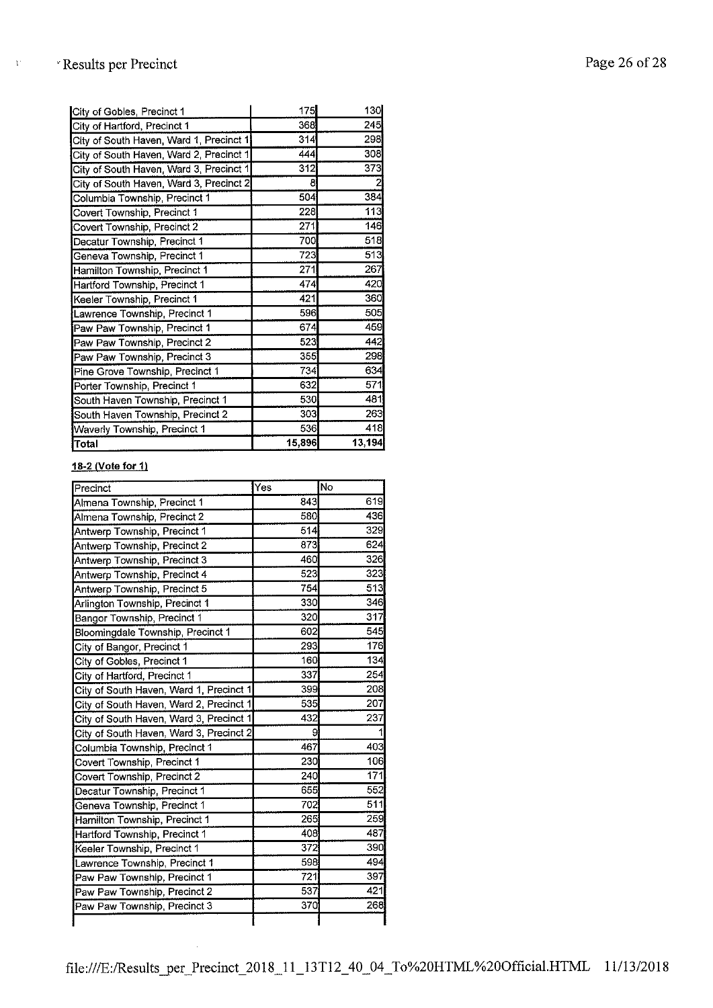$\bar{V}$ 

| City of Gobles, Precinct 1              | 175    | 130    |
|-----------------------------------------|--------|--------|
| City of Hartford, Precinct 1            | 368    | 245    |
| City of South Haven, Ward 1, Precinct 1 | 314    | 298    |
| City of South Haven, Ward 2, Precinct 1 | 444    | 308    |
| City of South Haven, Ward 3, Precinct 1 | 312    | 373    |
| City of South Haven, Ward 3, Precinct 2 | 8      | 2      |
| Columbia Township, Precinct 1           | 504    | 384    |
| Covert Township, Precinct 1             | 228    | 113    |
| Covert Township, Precinct 2             | 271    | 146    |
| Decatur Township, Precinct 1            | 700    | 518    |
| Geneva Township, Precinct 1             | 723    | 513    |
| Hamilton Township, Precinct 1           | 271    | 267    |
| Hartford Township, Precinct 1           | 474    | 420    |
| Keeler Township, Precinct 1             | 421    | 360    |
| Lawrence Township, Precinct 1           | 596    | 505    |
| Paw Paw Township, Precinct 1            | 674    | 459    |
| Paw Paw Township, Precinct 2            | 523    | 442    |
| Paw Paw Township, Precinct 3            | 355    | 298    |
| Pine Grove Township, Precinct 1         | 734    | 634    |
| Porter Township, Precinct 1             | 632    | 571    |
| South Haven Township, Precinct 1        | 530    | 481    |
| South Haven Township, Precinct 2        | 303    | 263    |
| Waverly Township, Precinct 1            | 536    | 418    |
| Total                                   | 15,896 | 13,194 |

#### **18-2 (Vole for 1)**

| Precinct                                | Yes | No  |
|-----------------------------------------|-----|-----|
| Almena Township, Precinct 1             | 843 | 619 |
| Almena Township, Precinct 2             | 530 | 436 |
| Antwerp Township, Precinct 1            | 514 | 329 |
| Antwerp Township, Precinct 2            | 873 | 624 |
| Antwerp Township, Precinct 3            | 460 | 326 |
| Antwerp Township, Precinct 4            | 523 | 323 |
| Antwerp Township, Precinct 5            | 754 | 513 |
| Arlington Township, Precinct 1          | 330 | 346 |
| Bangor Township, Precinct 1             | 320 | 317 |
| Bloomingdale Township, Precinct 1       | 602 | 545 |
| City of Bangor, Precinct 1              | 293 | 176 |
| City of Gobles, Precinct 1              | 160 | 134 |
| City of Hartford, Precinct 1            | 337 | 254 |
| City of South Haven, Ward 1, Precinct 1 | 399 | 208 |
| City of South Haven, Ward 2, Precinct 1 | 535 | 207 |
| City of South Haven, Ward 3, Precinct 1 | 432 | 237 |
| City of South Haven, Ward 3, Precinct 2 | 9   |     |
| Columbia Township, Precinct 1           | 467 | 403 |
| Covert Township, Precinct 1             | 230 | 106 |
| Covert Township, Precinct 2             | 240 | 171 |
| Decatur Township, Precinct 1            | 655 | 552 |
| Geneva Township, Precinct 1             | 702 | 511 |
| Hamilton Township, Precinct 1           | 265 | 259 |
| Hartford Township, Precinct 1           | 408 | 487 |
| Keeler Township, Precinct 1             | 372 | 390 |
| Lawrence Township, Precinct 1           | 598 | 494 |
| Paw Paw Township, Precinct 1            | 721 | 397 |
| Paw Paw Township, Precinct 2            | 537 | 421 |
| Paw Paw Township, Precinct 3            | 370 | 268 |
|                                         |     |     |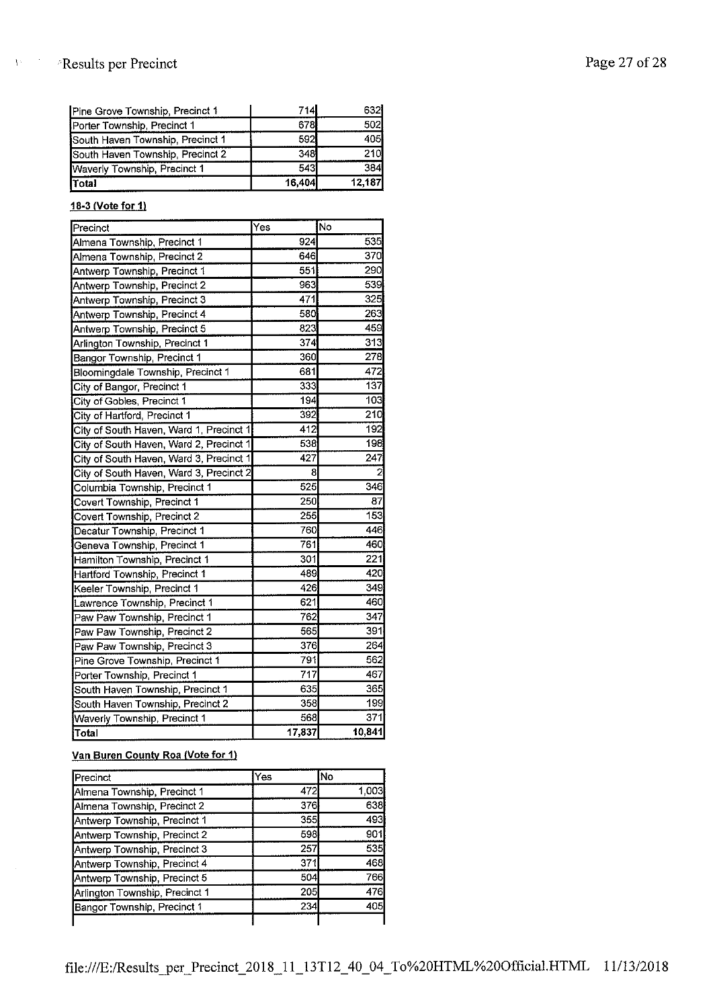# Page 27 of 28

 $\bar{Y}^{\perp}$ 

| Total                            | 16,404 | 12,187 |
|----------------------------------|--------|--------|
| Waverly Township, Precinct 1     | 543    | 384    |
| South Haven Township, Precinct 2 | 348    | 210    |
| South Haven Township, Precinct 1 | 592    | 405    |
| Porter Township, Precinct 1      | 678    | 502    |
| Pine Grove Township, Precinct 1  | 714    | 632    |

#### **18-3 (Vote for 1)**

| Precinct                                | Yes    | Ño     |
|-----------------------------------------|--------|--------|
| Almena Township, Precinct 1             | 924    | 535    |
| Almena Township, Precinct 2             | 646    | 370    |
| Antwerp Township, Precinct 1            | 551    | 290    |
| Antwerp Township, Precinct 2            | 963    | 539    |
| Antwerp Township, Precinct 3            | 471    | 325    |
| Antwerp Township, Precinct 4            | 580    | 263    |
| Antwerp Township, Precinct 5            | 823    | 459    |
| Arlington Township, Precinct 1          | 374    | 313    |
| Bangor Township, Precinct 1             | 360    | 278    |
| Bloomingdale Township, Precinct 1       | 681    | 472    |
| City of Bangor, Precinct 1              | 333    | 137    |
| City of Gobles, Precinct 1              | 194    | 103    |
| City of Hartford, Precinct 1            | 392    | 210    |
| City of South Haven, Ward 1, Precinct 1 | 412    | 192    |
| City of South Haven, Ward 2, Precinct 1 | 538    | 198    |
| City of South Haven, Ward 3, Precinct 1 | 427    | 247    |
| City of South Haven, Ward 3, Precinct 2 | 8      | 2      |
| Columbia Township, Precinct 1           | 525    | 346    |
| Covert Township, Precinct 1             | 250    | 87     |
| Covert Township, Precinct 2             | 255    | 153    |
| Decatur Township, Precinct 1            | 760    | 446    |
| Geneva Township, Precinct 1             | 761    | 460    |
| Hamilton Township, Precinct 1           | 301    | 221    |
| Hartford Township, Precinct 1           | 489    | 420    |
| Keeler Township, Precinct 1             | 426    | 349    |
| Lawrence Township, Precinct 1           | 621    | 460    |
| Paw Paw Township, Precinct 1            | 762    | 347    |
| Paw Paw Township, Precinct 2            | 565    | 391    |
| Paw Paw Township, Precinct 3            | 376    | 264    |
| Pine Grove Township, Precinct 1         | 791    | 562    |
| Porter Township, Precinct 1             | 717    | 467    |
| South Haven Township, Precinct 1        | 635    | 365    |
| South Haven Township, Precinct 2        | 358    | 199    |
| Waverly Township, Precinct 1            | 568    | 371    |
| Total                                   | 17,837 | 10,841 |

### **Van Buren County Roa {Vote for 1)**

| <b>IPrecinct</b>               | Yes | lΝo   |
|--------------------------------|-----|-------|
| Almena Township, Precinct 1    | 472 | 1,003 |
| Almena Township, Precinct 2    | 376 | 638   |
| Antwerp Township, Precinct 1   | 355 | 493   |
| Antwerp Township, Precinct 2   | 598 | 901   |
| Antwerp Township, Precinct 3   | 257 | 535   |
| Antwerp Township, Precinct 4   | 371 | 468   |
| Antwerp Township, Precinct 5   | 504 | 766   |
| Arlington Township, Precinct 1 | 205 | 476   |
| Bangor Township, Precinct 1    | 234 | 405   |
|                                |     |       |